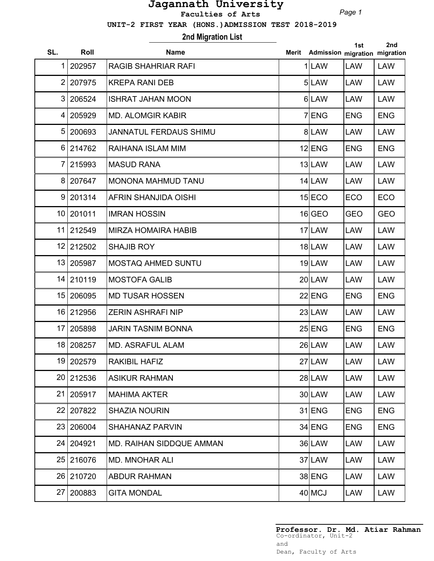*Page 1*

 **UNIT-2 FIRST YEAR (HONS.)ADMISSION TEST 2018-2019**

## **2nd Migration List**

| SL. | <b>Roll</b> | <b>Name</b>                   | <b>Merit</b> | Admission migration migration | 1st        | 2nd        |
|-----|-------------|-------------------------------|--------------|-------------------------------|------------|------------|
| 1   | 202957      | <b>RAGIB SHAHRIAR RAFI</b>    |              | $1$ LAW                       | <b>LAW</b> | <b>LAW</b> |
| 2   | 207975      | <b>KREPA RANI DEB</b>         |              | 5LAW                          | <b>LAW</b> | <b>LAW</b> |
| 3   | 206524      | <b>ISHRAT JAHAN MOON</b>      |              | 6LAW                          | <b>LAW</b> | <b>LAW</b> |
| 4   | 205929      | <b>MD. ALOMGIR KABIR</b>      |              | 7 ENG                         | <b>ENG</b> | <b>ENG</b> |
| 5   | 200693      | <b>JANNATUL FERDAUS SHIMU</b> |              | 8 LAW                         | <b>LAW</b> | <b>LAW</b> |
| 6   | 214762      | RAIHANA ISLAM MIM             |              | $12$ ENG                      | <b>ENG</b> | <b>ENG</b> |
| 7   | 215993      | <b>MASUD RANA</b>             |              | $13$ LAW                      | <b>LAW</b> | <b>LAW</b> |
| 8   | 207647      | <b>MONONA MAHMUD TANU</b>     |              | $14$ LAW                      | <b>LAW</b> | <b>LAW</b> |
| 9   | 201314      | AFRIN SHANJIDA OISHI          |              | $15$ $ECO$                    | ECO        | <b>ECO</b> |
|     | 10 201011   | <b>IMRAN HOSSIN</b>           |              | $16$ GEO                      | <b>GEO</b> | <b>GEO</b> |
| 11  | 212549      | <b>MIRZA HOMAIRA HABIB</b>    |              | 17 LAW                        | <b>LAW</b> | <b>LAW</b> |
| 12  | 212502      | <b>SHAJIB ROY</b>             |              | 18LAW                         | <b>LAW</b> | <b>LAW</b> |
| 13  | 205987      | <b>MOSTAQ AHMED SUNTU</b>     |              | $19$  LAW                     | <b>LAW</b> | <b>LAW</b> |
|     | 14 210119   | <b>MOSTOFA GALIB</b>          |              | $20$ LAW                      | <b>LAW</b> | <b>LAW</b> |
| 15  | 206095      | <b>MD TUSAR HOSSEN</b>        |              | $22$ ENG                      | <b>ENG</b> | <b>ENG</b> |
| 16  | 212956      | <b>ZERIN ASHRAFI NIP</b>      |              | $23$ LAW                      | <b>LAW</b> | <b>LAW</b> |
| 17  | 205898      | <b>JARIN TASNIM BONNA</b>     |              | $25$ ENG                      | <b>ENG</b> | <b>ENG</b> |
| 18  | 208257      | <b>MD. ASRAFUL ALAM</b>       |              | $26$ LAW                      | <b>LAW</b> | LAW        |
|     | 19 202579   | RAKIBIL HAFIZ                 |              | $27$  LAW                     | LAW        | LAW        |
|     | 20 212536   | <b>ASIKUR RAHMAN</b>          |              | $28$ LAW                      | <b>LAW</b> | <b>LAW</b> |
|     | 21 205917   | <b>MAHIMA AKTER</b>           |              | $30$ LAW                      | <b>LAW</b> | <b>LAW</b> |
| 22  | 207822      | <b>SHAZIA NOURIN</b>          |              | $31$ ENG                      | <b>ENG</b> | <b>ENG</b> |
| 23  | 206004      | <b>SHAHANAZ PARVIN</b>        |              | $34$ ENG                      | <b>ENG</b> | <b>ENG</b> |
|     | 24 204921   | MD. RAIHAN SIDDQUE AMMAN      |              | 36 LAW                        | <b>LAW</b> | LAW        |
|     | 25 216076   | <b>MD. MNOHAR ALI</b>         |              | 37 LAW                        | <b>LAW</b> | <b>LAW</b> |
|     | 26 210720   | <b>ABDUR RAHMAN</b>           |              | 38 ENG                        | <b>LAW</b> | <b>LAW</b> |
| 27  | 200883      | <b>GITA MONDAL</b>            |              | $40$ MCJ                      | LAW        | LAW        |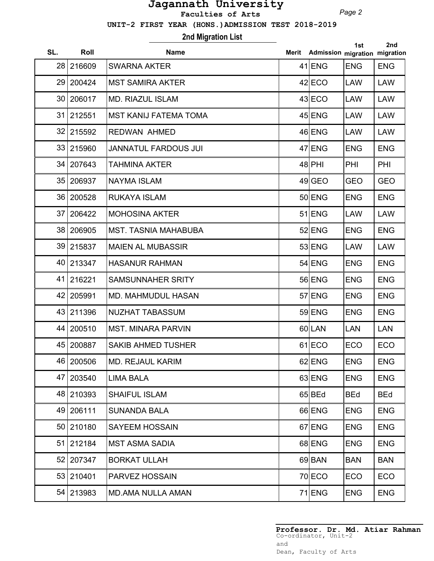*Page 2*

 **UNIT-2 FIRST YEAR (HONS.)ADMISSION TEST 2018-2019**

**2nd Migration List**

| SL.             | Roll      | <b>Name</b>                  | Merit | Admission migration migration | 1st        | 2nd        |
|-----------------|-----------|------------------------------|-------|-------------------------------|------------|------------|
| 28              | 216609    | <b>SWARNA AKTER</b>          |       | $41$ ENG                      | <b>ENG</b> | <b>ENG</b> |
| 29              | 200424    | <b>MST SAMIRA AKTER</b>      |       | $42$ ECO                      | LAW        | LAW        |
| 30              | 206017    | <b>MD. RIAZUL ISLAM</b>      |       | $43$ ECO                      | <b>LAW</b> | <b>LAW</b> |
| 31              | 212551    | <b>MST KANIJ FATEMA TOMA</b> |       | $45$ ENG                      | <b>LAW</b> | <b>LAW</b> |
| 32              | 215592    | <b>REDWAN AHMED</b>          |       | 46 ENG                        | <b>LAW</b> | <b>LAW</b> |
| 33              | 215960    | JANNATUL FARDOUS JUI         |       | 47 ENG                        | <b>ENG</b> | <b>ENG</b> |
| 34              | 207643    | TAHMINA AKTER                |       | $48$ PHI                      | PHI        | PHI        |
| 35              | 206937    | <b>NAYMA ISLAM</b>           |       | $49$ GEO                      | <b>GEO</b> | <b>GEO</b> |
| 36              | 200528    | <b>RUKAYA ISLAM</b>          |       | $50$ ENG                      | <b>ENG</b> | <b>ENG</b> |
| 37              | 206422    | <b>MOHOSINA AKTER</b>        |       | $51$ $ENG$                    | <b>LAW</b> | <b>LAW</b> |
| 38              | 206905    | <b>MST. TASNIA MAHABUBA</b>  |       | $52$ ENG                      | <b>ENG</b> | <b>ENG</b> |
| 39              | 215837    | <b>MAIEN AL MUBASSIR</b>     |       | 53 ENG                        | <b>LAW</b> | <b>LAW</b> |
| 40              | 213347    | <b>HASANUR RAHMAN</b>        |       | $54$ ENG                      | <b>ENG</b> | <b>ENG</b> |
| 41              | 216221    | <b>SAMSUNNAHER SRITY</b>     |       | 56 ENG                        | <b>ENG</b> | <b>ENG</b> |
| 42              | 205991    | <b>MD. MAHMUDUL HASAN</b>    |       | $57$ ENG                      | <b>ENG</b> | <b>ENG</b> |
| 43              | 211396    | NUZHAT TABASSUM              |       | 59 ENG                        | <b>ENG</b> | <b>ENG</b> |
| 44              | 200510    | <b>MST. MINARA PARVIN</b>    |       | 60LAN                         | <b>LAN</b> | <b>LAN</b> |
| 45              | 200887    | <b>SAKIB AHMED TUSHER</b>    |       | $61$ ECO                      | ECO        | ECO        |
| 46              | 200506    | MD. REJAUL KARIM             |       | $62$ ENG                      | <b>ENG</b> | <b>ENG</b> |
| 47              | 203540    | <b>LIMA BALA</b>             |       | 63 ENG                        | <b>ENG</b> | <b>ENG</b> |
| 48              | 210393    | <b>SHAIFUL ISLAM</b>         |       | 65 BEd                        | <b>BEd</b> | <b>BEd</b> |
| 49              | 206111    | <b>SUNANDA BALA</b>          |       | 66 ENG                        | <b>ENG</b> | <b>ENG</b> |
| 50 <sub>1</sub> | 210180    | <b>SAYEEM HOSSAIN</b>        |       | 67 ENG                        | <b>ENG</b> | <b>ENG</b> |
| 51              | 212184    | <b>MST ASMA SADIA</b>        |       | 68 ENG                        | <b>ENG</b> | <b>ENG</b> |
|                 | 52 207347 | <b>BORKAT ULLAH</b>          |       | $69$ BAN                      | <b>BAN</b> | <b>BAN</b> |
| 53              | 210401    | PARVEZ HOSSAIN               |       | $70$ ECO                      | ECO        | <b>ECO</b> |
| 54              | 213983    | <b>MD.AMA NULLA AMAN</b>     |       | $71$ ENG                      | <b>ENG</b> | <b>ENG</b> |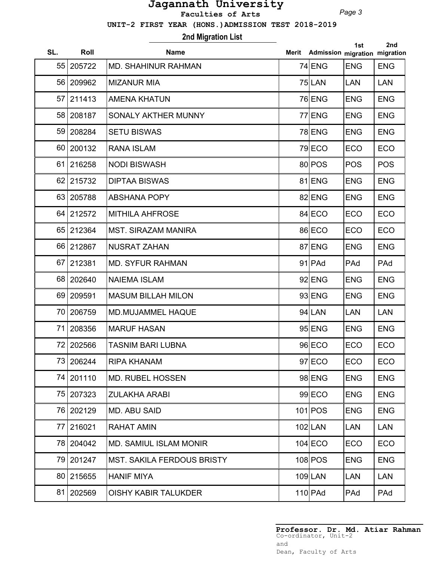*Page 3*

 **UNIT-2 FIRST YEAR (HONS.)ADMISSION TEST 2018-2019**

**2nd Migration List**

| SL.             | Roll      | <b>Name</b>                       | <b>Merit</b> | Admission migration migration | 1st        | 2nd        |
|-----------------|-----------|-----------------------------------|--------------|-------------------------------|------------|------------|
| 55              | 205722    | <b>MD. SHAHINUR RAHMAN</b>        |              | $74$ ENG                      | <b>ENG</b> | <b>ENG</b> |
| 56              | 209962    | <b>MIZANUR MIA</b>                |              | $75$ LAN                      | <b>LAN</b> | <b>LAN</b> |
| 57              | 211413    | <b>AMENA KHATUN</b>               |              | 76 ENG                        | <b>ENG</b> | <b>ENG</b> |
| 58              | 208187    | SONALY AKTHER MUNNY               |              | 77 ENG                        | <b>ENG</b> | <b>ENG</b> |
| 59              | 208284    | <b>SETU BISWAS</b>                |              | 78 ENG                        | <b>ENG</b> | <b>ENG</b> |
| 60 <sup>1</sup> | 200132    | <b>RANA ISLAM</b>                 |              | $79$ ECO                      | ECO        | ECO        |
| 61              | 216258    | <b>NODI BISWASH</b>               |              | 80 POS                        | <b>POS</b> | <b>POS</b> |
| 62              | 215732    | <b>DIPTAA BISWAS</b>              |              | 81 ENG                        | <b>ENG</b> | <b>ENG</b> |
| 63              | 205788    | <b>ABSHANA POPY</b>               |              | 82 ENG                        | <b>ENG</b> | <b>ENG</b> |
| 64              | 212572    | <b>MITHILA AHFROSE</b>            |              | 84 ECO                        | ECO        | ECO        |
| 65              | 212364    | <b>MST. SIRAZAM MANIRA</b>        |              | 86 ECO                        | ECO        | ECO        |
| 66              | 212867    | <b>NUSRAT ZAHAN</b>               |              | 87 ENG                        | <b>ENG</b> | <b>ENG</b> |
| 67              | 212381    | <b>MD. SYFUR RAHMAN</b>           |              | $91$ PAd                      | PAd        | PAd        |
| 68              | 202640    | <b>NAIEMA ISLAM</b>               |              | $92$ ENG                      | <b>ENG</b> | <b>ENG</b> |
| 69              | 209591    | <b>MASUM BILLAH MILON</b>         |              | $93$ ENG                      | <b>ENG</b> | <b>ENG</b> |
| 70              | 206759    | <b>MD.MUJAMMEL HAQUE</b>          |              | $94$ LAN                      | <b>LAN</b> | <b>LAN</b> |
| 71              | 208356    | <b>MARUF HASAN</b>                |              | $95$ ENG                      | <b>ENG</b> | <b>ENG</b> |
| 72              | 202566    | <b>TASNIM BARI LUBNA</b>          |              | 96 ECO                        | ECO        | ECO        |
|                 | 73 206244 | <b>RIPA KHANAM</b>                |              | $97$ ECO                      | <b>ECO</b> | ECO        |
| 74 I            | 201110    | <b>MD. RUBEL HOSSEN</b>           |              | 98 ENG                        | <b>ENG</b> | <b>ENG</b> |
| 75              | 207323    | <b>ZULAKHA ARABI</b>              |              | $99$ ECO                      | <b>ENG</b> | <b>ENG</b> |
| 76              | 202129    | <b>MD. ABU SAID</b>               |              | $101$ POS                     | <b>ENG</b> | <b>ENG</b> |
| 77              | 216021    | <b>RAHAT AMIN</b>                 |              | $102$ LAN                     | <b>LAN</b> | <b>LAN</b> |
| 78              | 204042    | <b>MD. SAMIUL ISLAM MONIR</b>     |              | $104$ ECO                     | ECO        | <b>ECO</b> |
| 79              | 201247    | <b>MST. SAKILA FERDOUS BRISTY</b> |              | 108 POS                       | <b>ENG</b> | <b>ENG</b> |
| 80 <sub>1</sub> | 215655    | <b>HANIF MIYA</b>                 |              | $109$ LAN                     | <b>LAN</b> | <b>LAN</b> |
| 81              | 202569    | <b>OISHY KABIR TALUKDER</b>       |              | $110$ PAd                     | PAd        | PAd        |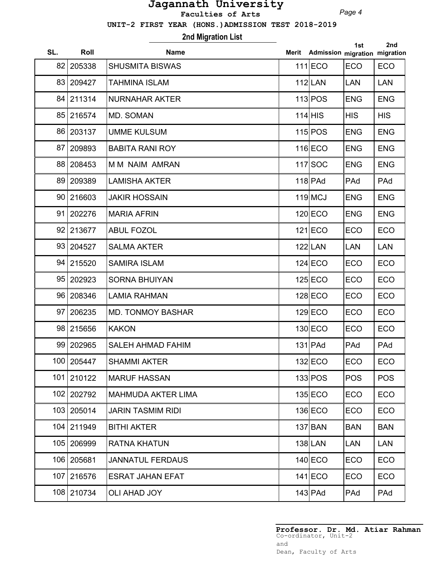*Page 4*

 **UNIT-2 FIRST YEAR (HONS.)ADMISSION TEST 2018-2019**

**2nd Migration List**

| SL. | Roll       | <b>Name</b>               | Merit | Admission migration migration | 1st        | 2nd        |
|-----|------------|---------------------------|-------|-------------------------------|------------|------------|
| 82  | 205338     | <b>SHUSMITA BISWAS</b>    |       | $111$ ECO                     | ECO        | ECO        |
| 83  | 209427     | <b>TAHMINA ISLAM</b>      |       | $112$ LAN                     | <b>LAN</b> | <b>LAN</b> |
| 84  | 211314     | <b>NURNAHAR AKTER</b>     |       | 113 POS                       | <b>ENG</b> | <b>ENG</b> |
| 85  | 216574     | MD. SOMAN                 |       | $114$ HIS                     | <b>HIS</b> | <b>HIS</b> |
| 86  | 203137     | <b>UMME KULSUM</b>        |       | 115 POS                       | <b>ENG</b> | <b>ENG</b> |
| 87  | 209893     | <b>BABITA RANI ROY</b>    |       | $116$ ECO                     | <b>ENG</b> | <b>ENG</b> |
| 88  | 208453     | <b>MM NAIM AMRAN</b>      |       | $117$ SOC                     | <b>ENG</b> | <b>ENG</b> |
| 89  | 209389     | <b>LAMISHA AKTER</b>      |       | $118$ PAd                     | PAd        | PAd        |
| 90  | 216603     | <b>JAKIR HOSSAIN</b>      |       | $119$ MCJ                     | <b>ENG</b> | <b>ENG</b> |
| 91  | 202276     | <b>MARIA AFRIN</b>        |       | $120$ ECO                     | <b>ENG</b> | <b>ENG</b> |
| 92  | 213677     | <b>ABUL FOZOL</b>         |       | $121$ ECO                     | ECO        | ECO        |
|     | 93 204527  | <b>SALMA AKTER</b>        |       | $122$ LAN                     | <b>LAN</b> | <b>LAN</b> |
| 94  | 215520     | <b>SAMIRA ISLAM</b>       |       | $124$ ECO                     | ECO        | ECO        |
| 95  | 202923     | <b>SORNA BHUIYAN</b>      |       | $125$ ECO                     | ECO        | ECO        |
| 96  | 208346     | <b>LAMIA RAHMAN</b>       |       | $128$ ECO                     | ECO        | ECO        |
| 97  | 206235     | <b>MD. TONMOY BASHAR</b>  |       | $129$ ECO                     | ECO        | ECO        |
| 98  | 215656     | <b>KAKON</b>              |       | $130$ ECO                     | ECO        | ECO        |
|     | 99 202965  | <b>SALEH AHMAD FAHIM</b>  |       | $131$ PAd                     | PAd        | PAd        |
| 100 | 205447     | <b>SHAMMI AKTER</b>       |       | 132 ECO                       | ECO        | ECO        |
|     | 101 210122 | <b>MARUF HASSAN</b>       |       | 133 POS                       | <b>POS</b> | <b>POS</b> |
|     | 102 202792 | <b>MAHMUDA AKTER LIMA</b> |       | $135$ ECO                     | <b>ECO</b> | <b>ECO</b> |
| 103 | 205014     | <b>JARIN TASMIM RIDI</b>  |       | $136$ ECO                     | ECO        | <b>ECO</b> |
| 104 | 211949     | <b>BITHI AKTER</b>        |       | $137$ $BAN$                   | <b>BAN</b> | <b>BAN</b> |
| 105 | 206999     | <b>RATNA KHATUN</b>       |       | $138$  LAN                    | <b>LAN</b> | <b>LAN</b> |
|     | 106 205681 | <b>JANNATUL FERDAUS</b>   |       | $140$ ECO                     | ECO        | <b>ECO</b> |
| 107 | 216576     | <b>ESRAT JAHAN EFAT</b>   |       | $141$ ECO                     | ECO        | <b>ECO</b> |
|     | 108 210734 | <b>OLI AHAD JOY</b>       |       | $143$ PAd                     | PAd        | PAd        |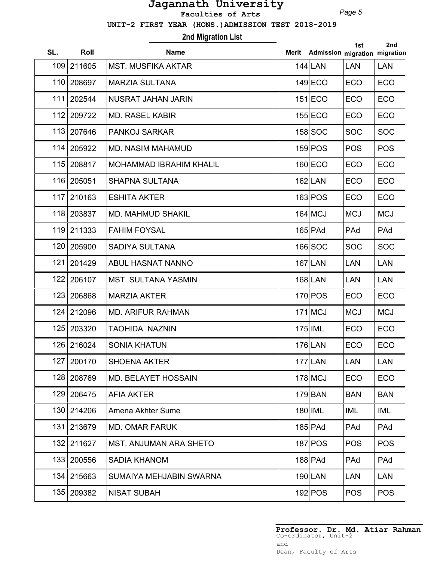*Page 5*

 **UNIT-2 FIRST YEAR (HONS.)ADMISSION TEST 2018-2019**

**2nd Migration List**

| SL. | Roll       | <b>Name</b>                    | Merit | Admission migration migration | 1st        | 2nd        |
|-----|------------|--------------------------------|-------|-------------------------------|------------|------------|
| 109 | 211605     | <b>MST. MUSFIKA AKTAR</b>      |       | $144$  LAN                    | <b>LAN</b> | <b>LAN</b> |
| 110 | 208697     | <b>MARZIA SULTANA</b>          |       | $149$ ECO                     | <b>ECO</b> | ECO        |
| 111 | 202544     | <b>NUSRAT JAHAN JARIN</b>      |       | $151$ ECO                     | <b>ECO</b> | ECO        |
| 112 | 209722     | <b>MD. RASEL KABIR</b>         |       | $155$ ECO                     | ECO        | ECO        |
| 113 | 207646     | <b>PANKOJ SARKAR</b>           |       | $158$ SOC                     | <b>SOC</b> | <b>SOC</b> |
| 114 | 205922     | <b>MD. NASIM MAHAMUD</b>       |       | $159$ POS                     | <b>POS</b> | <b>POS</b> |
| 115 | 208817     | <b>MOHAMMAD IBRAHIM KHALIL</b> |       | $160$ ECO                     | <b>ECO</b> | ECO        |
| 116 | 205051     | <b>SHAPNA SULTANA</b>          |       | $162$ LAN                     | ECO        | ECO        |
| 117 | 210163     | <b>ESHITA AKTER</b>            |       | 163 POS                       | ECO        | <b>ECO</b> |
| 118 | 203837     | <b>MD. MAHMUD SHAKIL</b>       |       | $164$ MCJ                     | <b>MCJ</b> | <b>MCJ</b> |
|     | 119 211333 | <b>FAHIM FOYSAL</b>            |       | $165$ PAd                     | PAd        | PAd        |
| 120 | 205900     | <b>SADIYA SULTANA</b>          |       | $166$ SOC                     | <b>SOC</b> | <b>SOC</b> |
| 121 | 201429     | <b>ABUL HASNAT NANNO</b>       |       | $167$ LAN                     | <b>LAN</b> | <b>LAN</b> |
| 122 | 206107     | <b>MST. SULTANA YASMIN</b>     |       | 168 LAN                       | LAN        | <b>LAN</b> |
| 123 | 206868     | <b>MARZIA AKTER</b>            |       | $170$ POS                     | ECO        | ECO        |
| 124 | 212096     | <b>MD. ARIFUR RAHMAN</b>       |       | $171$ MCJ                     | <b>MCJ</b> | <b>MCJ</b> |
| 125 | 203320     | <b>TAOHIDA NAZNIN</b>          |       | $175$ $\vert$ IML             | ECO        | ECO        |
|     | 126 216024 | <b>SONIA KHATUN</b>            |       | $176$ LAN                     | ECO        | ECO        |
|     | 127 200170 | <b>SHOENA AKTER</b>            |       | 177 LAN                       | LAN        | LAN        |
| 128 | 208769     | <b>MD. BELAYET HOSSAIN</b>     |       | $178$ MCJ                     | ECO        | <b>ECO</b> |
| 129 | 206475     | <b>AFIA AKTER</b>              |       | $179$ BAN                     | <b>BAN</b> | <b>BAN</b> |
| 130 | 214206     | Amena Akhter Sume              |       | $180$ IML                     | <b>IML</b> | <b>IML</b> |
| 131 | 213679     | <b>MD. OMAR FARUK</b>          |       | $185$ PAd                     | PAd        | PAd        |
|     | 132 211627 | <b>MST. ANJUMAN ARA SHETO</b>  |       | 187 POS                       | <b>POS</b> | <b>POS</b> |
|     | 133 200556 | <b>SADIA KHANOM</b>            |       | $188$ PAd                     | PAd        | PAd        |
|     | 134 215663 | SUMAIYA MEHJABIN SWARNA        |       | 190 LAN                       | <b>LAN</b> | <b>LAN</b> |
|     | 135 209382 | <b>NISAT SUBAH</b>             |       | $192$ POS                     | <b>POS</b> | <b>POS</b> |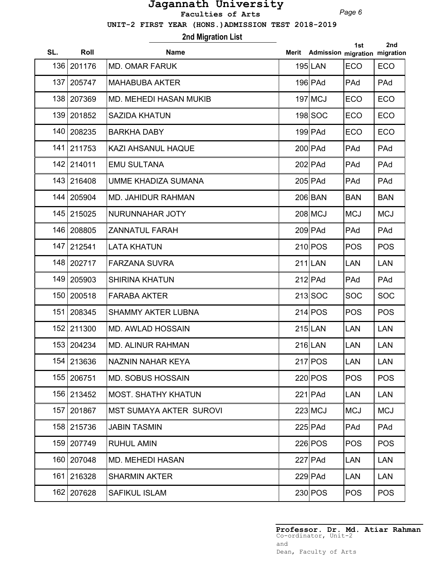*Page 6*

 **UNIT-2 FIRST YEAR (HONS.)ADMISSION TEST 2018-2019**

## **2nd Migration List**

| SL. | Roll       | <b>Name</b>                    | Merit | Admission migration migration | 1st        | 2nd        |
|-----|------------|--------------------------------|-------|-------------------------------|------------|------------|
| 136 | 201176     | <b>MD. OMAR FARUK</b>          |       | $195$ LAN                     | ECO        | ECO        |
| 137 | 205747     | <b>MAHABUBA AKTER</b>          |       | $196$ PAd                     | PAd        | PAd        |
| 138 | 207369     | <b>MD. MEHEDI HASAN MUKIB</b>  |       | $197$ MCJ                     | ECO        | ECO        |
|     | 139 201852 | <b>SAZIDA KHATUN</b>           |       | 198 SOC                       | <b>ECO</b> | <b>ECO</b> |
|     | 140 208235 | <b>BARKHA DABY</b>             |       | $199$ PAd                     | ECO        | ECO        |
|     | 141 211753 | <b>KAZI AHSANUL HAQUE</b>      |       | $200$ PAd                     | PAd        | PAd        |
|     | 142 214011 | <b>EMU SULTANA</b>             |       | $202$ PAd                     | PAd        | PAd        |
| 143 | 216408     | <b>UMME KHADIZA SUMANA</b>     |       | $205$ PAd                     | PAd        | PAd        |
| 144 | 205904     | <b>MD. JAHIDUR RAHMAN</b>      |       | 206 BAN                       | <b>BAN</b> | <b>BAN</b> |
|     | 145 215025 | NURUNNAHAR JOTY                |       | $208$ MCJ                     | <b>MCJ</b> | <b>MCJ</b> |
| 146 | 208805     | <b>ZANNATUL FARAH</b>          |       | $209$ PAd                     | PAd        | PAd        |
| 147 | 212541     | <b>LATA KHATUN</b>             |       | $210$ POS                     | <b>POS</b> | <b>POS</b> |
| 148 | 202717     | <b>FARZANA SUVRA</b>           |       | $211$ LAN                     | <b>LAN</b> | <b>LAN</b> |
| 149 | 205903     | <b>SHIRINA KHATUN</b>          |       | $212$ PAd                     | PAd        | PAd        |
| 150 | 200518     | <b>FARABA AKTER</b>            |       | $213$ SOC                     | <b>SOC</b> | <b>SOC</b> |
| 151 | 208345     | <b>SHAMMY AKTER LUBNA</b>      |       | 214 POS                       | <b>POS</b> | <b>POS</b> |
| 152 | 211300     | <b>MD. AWLAD HOSSAIN</b>       |       | $215$ LAN                     | <b>LAN</b> | <b>LAN</b> |
|     | 153 204234 | <b>MD. ALINUR RAHMAN</b>       |       | $216$ LAN                     | <b>LAN</b> | <b>LAN</b> |
| 154 | 213636     | NAZNIN NAHAR KEYA              |       | $217$ POS                     | LAN        | <b>LAN</b> |
|     | 155 206751 | <b>MD. SOBUS HOSSAIN</b>       |       | $220$ POS                     | <b>POS</b> | <b>POS</b> |
|     | 156 213452 | <b>MOST. SHATHY KHATUN</b>     |       | $221$ PAd                     | <b>LAN</b> | <b>LAN</b> |
| 157 | 201867     | <b>MST SUMAYA AKTER SUROVI</b> |       | $223$ MCJ                     | <b>MCJ</b> | <b>MCJ</b> |
| 158 | 215736     | <b>JABIN TASMIN</b>            |       | $225$ PAd                     | PAd        | PAd        |
| 159 | 207749     | <b>RUHUL AMIN</b>              |       | 226 POS                       | <b>POS</b> | <b>POS</b> |
|     | 160 207048 | <b>MD. MEHEDI HASAN</b>        |       | $227$ PAd                     | <b>LAN</b> | <b>LAN</b> |
|     | 161 216328 | <b>SHARMIN AKTER</b>           |       | $229$ PAd                     | <b>LAN</b> | <b>LAN</b> |
|     | 162 207628 | <b>SAFIKUL ISLAM</b>           |       | $230$ POS                     | <b>POS</b> | <b>POS</b> |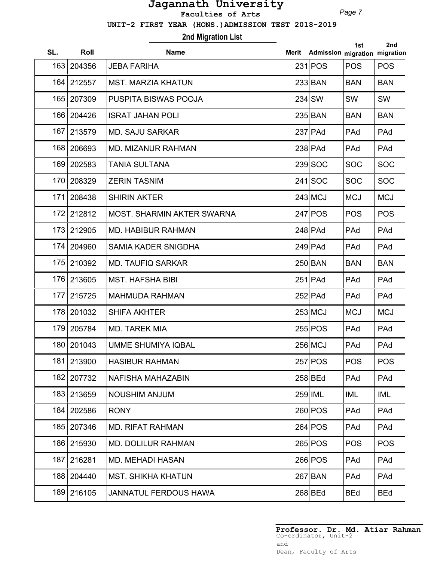*Page 7*

 **UNIT-2 FIRST YEAR (HONS.)ADMISSION TEST 2018-2019**

# **2nd Migration List**

| SL. | Roll       | <b>Name</b>                  | Merit Admission migration migration | 1st        | 2nd        |
|-----|------------|------------------------------|-------------------------------------|------------|------------|
|     | 163 204356 | <b>JEBA FARIHA</b>           | 231 POS                             | <b>POS</b> | <b>POS</b> |
| 164 | 212557     | <b>MST. MARZIA KHATUN</b>    | 233 BAN                             | <b>BAN</b> | <b>BAN</b> |
| 165 | 207309     | PUSPITA BISWAS POOJA         | $234$ SW                            | SW         | <b>SW</b>  |
| 166 | 204426     | <b>ISRAT JAHAN POLI</b>      | 235 BAN                             | <b>BAN</b> | <b>BAN</b> |
| 167 | 213579     | <b>MD. SAJU SARKAR</b>       | $237$ PAd                           | PAd        | PAd        |
| 168 | 206693     | <b>MD. MIZANUR RAHMAN</b>    | $238$ PAd                           | PAd        | PAd        |
| 169 | 202583     | <b>TANIA SULTANA</b>         | $239$ SOC                           | <b>SOC</b> | <b>SOC</b> |
| 170 | 208329     | <b>ZERIN TASNIM</b>          | $241$ SOC                           | <b>SOC</b> | <b>SOC</b> |
| 171 | 208438     | <b>SHIRIN AKTER</b>          | $243$ MCJ                           | <b>MCJ</b> | <b>MCJ</b> |
| 172 | 212812     | MOST. SHARMIN AKTER SWARNA   | $247$ POS                           | <b>POS</b> | <b>POS</b> |
| 173 | 212905     | <b>MD. HABIBUR RAHMAN</b>    | $248$ PAd                           | PAd        | PAd        |
| 174 | 204960     | <b>SAMIA KADER SNIGDHA</b>   | $249$ PAd                           | PAd        | PAd        |
| 175 | 210392     | <b>MD. TAUFIQ SARKAR</b>     | 250 BAN                             | <b>BAN</b> | <b>BAN</b> |
| 176 | 213605     | <b>MST. HAFSHA BIBI</b>      | $251$ PAd                           | PAd        | PAd        |
| 177 | 215725     | <b>MAHMUDA RAHMAN</b>        | $252$ PAd                           | PAd        | PAd        |
| 178 | 201032     | <b>SHIFA AKHTER</b>          | $253$ MCJ                           | <b>MCJ</b> | <b>MCJ</b> |
| 179 | 205784     | <b>MD. TAREK MIA</b>         | 255 POS                             | PAd        | PAd        |
| 180 | 201043     | <b>UMME SHUMIYA IQBAL</b>    | 256 MCJ                             | PAd        | PAd        |
|     | 181 213900 | <b>HASIBUR RAHMAN</b>        | 257 POS                             | <b>POS</b> | <b>POS</b> |
| 182 | 207732     | NAFISHA MAHAZABIN            | $258$ BEd                           | PAd        | PAd        |
| 183 | 213659     | <b>NOUSHIM ANJUM</b>         | 259 IML                             | <b>IML</b> | IML        |
| 184 | 202586     | <b>RONY</b>                  | $260$ POS                           | PAd        | PAd        |
| 185 | 207346     | <b>MD. RIFAT RAHMAN</b>      | 264 POS                             | PAd        | PAd        |
|     | 186 215930 | <b>MD. DOLILUR RAHMAN</b>    | 265 POS                             | <b>POS</b> | <b>POS</b> |
| 187 | 216281     | <b>MD. MEHADI HASAN</b>      | 266 POS                             | PAd        | PAd        |
| 188 | 204440     | <b>MST. SHIKHA KHATUN</b>    | $267$ $BAN$                         | PAd        | PAd        |
|     | 189 216105 | <b>JANNATUL FERDOUS HAWA</b> | $268$ BEd                           | <b>BEd</b> | <b>BEd</b> |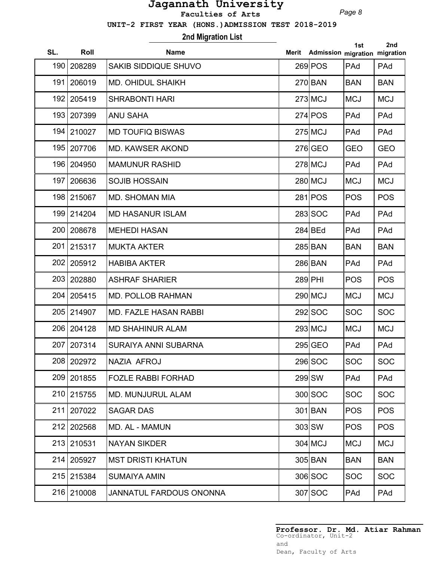*Page 8*

 **UNIT-2 FIRST YEAR (HONS.)ADMISSION TEST 2018-2019**

**2nd Migration List**

| SL. | Roll       | <b>Name</b>                  | Merit | Admission migration migration | 1st        | 2nd        |
|-----|------------|------------------------------|-------|-------------------------------|------------|------------|
| 190 | 208289     | <b>SAKIB SIDDIQUE SHUVO</b>  |       | $269$ POS                     | PAd        | PAd        |
| 191 | 206019     | <b>MD. OHIDUL SHAIKH</b>     |       | $270$ BAN                     | <b>BAN</b> | <b>BAN</b> |
| 192 | 205419     | <b>SHRABONTI HARI</b>        |       | $273$ MCJ                     | <b>MCJ</b> | <b>MCJ</b> |
| 193 | 207399     | <b>ANU SAHA</b>              |       | $274$ $POS$                   | PAd        | PAd        |
| 194 | 210027     | <b>MD TOUFIQ BISWAS</b>      |       | $275$ MCJ                     | PAd        | PAd        |
| 195 | 207706     | <b>MD. KAWSER AKOND</b>      |       | $276$ GEO                     | GEO        | <b>GEO</b> |
| 196 | 204950     | <b>MAMUNUR RASHID</b>        |       | $278$ MCJ                     | PAd        | PAd        |
| 197 | 206636     | <b>SOJIB HOSSAIN</b>         |       | 280 MCJ                       | <b>MCJ</b> | <b>MCJ</b> |
| 198 | 215067     | <b>MD. SHOMAN MIA</b>        |       | $281$ POS                     | <b>POS</b> | <b>POS</b> |
|     | 199 214204 | <b>MD HASANUR ISLAM</b>      |       | 283 SOC                       | PAd        | PAd        |
| 200 | 208678     | <b>MEHEDI HASAN</b>          |       | 284 BEd                       | PAd        | PAd        |
| 201 | 215317     | <b>MUKTA AKTER</b>           |       | 285 BAN                       | <b>BAN</b> | <b>BAN</b> |
| 202 | 205912     | <b>HABIBA AKTER</b>          |       | 286 BAN                       | PAd        | PAd        |
| 203 | 202880     | <b>ASHRAF SHARIER</b>        |       | 289 PHI                       | <b>POS</b> | <b>POS</b> |
| 204 | 205415     | <b>MD. POLLOB RAHMAN</b>     |       | $290$ MCJ                     | <b>MCJ</b> | <b>MCJ</b> |
| 205 | 214907     | <b>MD. FAZLE HASAN RABBI</b> |       | 292 SOC                       | <b>SOC</b> | <b>SOC</b> |
| 206 | 204128     | <b>MD SHAHINUR ALAM</b>      |       | $293$ MCJ                     | <b>MCJ</b> | <b>MCJ</b> |
|     | 207 207314 | <b>SURAIYA ANNI SUBARNA</b>  |       | $295$ GEO                     | PAd        | PAd        |
|     | 208 202972 | NAZIA AFROJ                  |       | 296 SOC                       | <b>SOC</b> | <b>SOC</b> |
|     | 209 201855 | <b>FOZLE RABBI FORHAD</b>    |       | $299$ SW                      | PAd        | PAd        |
| 210 | 215755     | <b>MD. MUNJURUL ALAM</b>     |       | 300 SOC                       | <b>SOC</b> | <b>SOC</b> |
| 211 | 207022     | <b>SAGAR DAS</b>             |       | 301 BAN                       | <b>POS</b> | <b>POS</b> |
| 212 | 202568     | MD. AL - MAMUN               |       | $303$ $SW$                    | <b>POS</b> | <b>POS</b> |
|     | 213 210531 | <b>NAYAN SIKDER</b>          |       | $304$ MCJ                     | <b>MCJ</b> | <b>MCJ</b> |
| 214 | 205927     | <b>MST DRISTI KHATUN</b>     |       | 305 BAN                       | <b>BAN</b> | <b>BAN</b> |
|     | 215 215384 | <b>SUMAIYA AMIN</b>          |       | 306 SOC                       | <b>SOC</b> | <b>SOC</b> |
|     | 216 210008 | JANNATUL FARDOUS ONONNA      |       | $307$ SOC                     | PAd        | PAd        |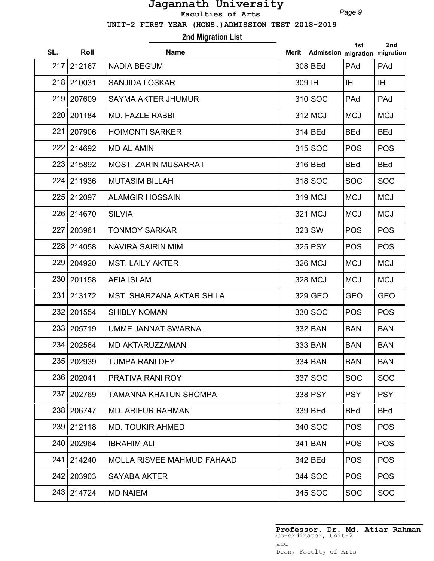*Page 9*

 **UNIT-2 FIRST YEAR (HONS.)ADMISSION TEST 2018-2019**

## **2nd Migration List**

| SL. | Roll         | <b>Name</b>                       | Merit  | Admission migration migration | 1st        | 2nd        |
|-----|--------------|-----------------------------------|--------|-------------------------------|------------|------------|
| 217 | 212167       | <b>NADIA BEGUM</b>                |        | 308 BEd                       | PAd        | PAd        |
|     | 218 210031   | <b>SANJIDA LOSKAR</b>             | 309 IH |                               | IH.        | IH.        |
|     | 219 207609   | <b>SAYMA AKTER JHUMUR</b>         |        | $310$ SOC                     | PAd        | PAd        |
| 220 | 201184       | <b>MD. FAZLE RABBI</b>            |        | 312 MCJ                       | <b>MCJ</b> | <b>MCJ</b> |
|     | 221   207906 | <b>HOIMONTI SARKER</b>            |        | $314$ BEd                     | <b>BEd</b> | <b>BEd</b> |
|     | 222 214692   | <b>MD AL AMIN</b>                 |        | 315 SOC                       | <b>POS</b> | <b>POS</b> |
|     | 223 215892   | <b>MOST. ZARIN MUSARRAT</b>       |        | 316 BEd                       | <b>BEd</b> | <b>BEd</b> |
|     | 224 211936   | <b>MUTASIM BILLAH</b>             |        | 318 SOC                       | <b>SOC</b> | <b>SOC</b> |
|     | 225 212097   | <b>ALAMGIR HOSSAIN</b>            |        | $319$ MCJ                     | <b>MCJ</b> | <b>MCJ</b> |
|     | 226 214670   | <b>SILVIA</b>                     |        | $321$ MCJ                     | <b>MCJ</b> | <b>MCJ</b> |
| 227 | 203961       | <b>TONMOY SARKAR</b>              |        | 323 SW                        | <b>POS</b> | <b>POS</b> |
|     | 228 214058   | <b>NAVIRA SAIRIN MIM</b>          |        | 325 PSY                       | <b>POS</b> | <b>POS</b> |
|     | 229 204920   | <b>MST. LAILY AKTER</b>           |        | 326 MCJ                       | <b>MCJ</b> | <b>MCJ</b> |
|     | 230 201158   | <b>AFIA ISLAM</b>                 |        | 328 MCJ                       | <b>MCJ</b> | <b>MCJ</b> |
| 231 | 213172       | <b>MST. SHARZANA AKTAR SHILA</b>  |        | 329 GEO                       | <b>GEO</b> | <b>GEO</b> |
| 232 | 201554       | <b>SHIBLY NOMAN</b>               |        | 330 SOC                       | <b>POS</b> | <b>POS</b> |
|     | 233 205719   | UMME JANNAT SWARNA                |        | 332 BAN                       | <b>BAN</b> | <b>BAN</b> |
|     | 234 202564   | <b>MD AKTARUZZAMAN</b>            |        | 333 BAN                       | <b>BAN</b> | <b>BAN</b> |
|     | 235 202939   | <b>TUMPA RANI DEY</b>             |        | 334 BAN                       | <b>BAN</b> | <b>BAN</b> |
|     | 236 202041   | <b>PRATIVA RANI ROY</b>           |        | 337 SOC                       | <b>SOC</b> | <b>SOC</b> |
| 237 | 202769       | TAMANNA KHATUN SHOMPA             |        | 338 PSY                       | <b>PSY</b> | <b>PSY</b> |
|     | 238 206747   | <b>MD. ARIFUR RAHMAN</b>          |        | 339 BEd                       | <b>BEd</b> | <b>BEd</b> |
|     | 239 212118   | <b>MD. TOUKIR AHMED</b>           |        | 340 SOC                       | <b>POS</b> | <b>POS</b> |
|     | 240 202964   | <b>IBRAHIM ALI</b>                |        | $341$ $BAN$                   | <b>POS</b> | <b>POS</b> |
| 241 | 214240       | <b>MOLLA RISVEE MAHMUD FAHAAD</b> |        | 342 BEd                       | <b>POS</b> | <b>POS</b> |
|     | 242 203903   | <b>SAYABA AKTER</b>               |        | $344$ SOC                     | <b>POS</b> | <b>POS</b> |
|     | 243 214724   | <b>MD NAIEM</b>                   |        | $345$ SOC                     | <b>SOC</b> | <b>SOC</b> |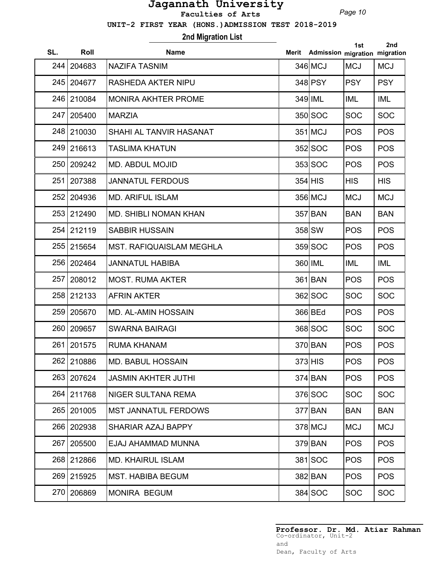*Page 10*

 **UNIT-2 FIRST YEAR (HONS.)ADMISSION TEST 2018-2019**

## **2nd Migration List**

| SL. | Roll       | <b>Name</b>                     | Merit | Admission migration migration | 1st        | 2nd        |
|-----|------------|---------------------------------|-------|-------------------------------|------------|------------|
| 244 | 204683     | <b>NAZIFA TASNIM</b>            |       | 346 MCJ                       | <b>MCJ</b> | <b>MCJ</b> |
| 245 | 204677     | <b>RASHEDA AKTER NIPU</b>       |       | 348 PSY                       | <b>PSY</b> | <b>PSY</b> |
| 246 | 210084     | <b>MONIRA AKHTER PROME</b>      |       | 349 IML                       | IML        | <b>IML</b> |
| 247 | 205400     | <b>MARZIA</b>                   |       | 350 SOC                       | <b>SOC</b> | <b>SOC</b> |
|     | 248 210030 | SHAHI AL TANVIR HASANAT         |       | $351$ MCJ                     | <b>POS</b> | <b>POS</b> |
|     | 249 216613 | <b>TASLIMA KHATUN</b>           |       | 352 SOC                       | <b>POS</b> | <b>POS</b> |
| 250 | 209242     | <b>MD. ABDUL MOJID</b>          |       | $353$ SOC                     | <b>POS</b> | <b>POS</b> |
| 251 | 207388     | <b>JANNATUL FERDOUS</b>         |       | $354$ HIS                     | <b>HIS</b> | <b>HIS</b> |
|     | 252 204936 | <b>MD. ARIFUL ISLAM</b>         |       | 356 MCJ                       | <b>MCJ</b> | <b>MCJ</b> |
|     | 253 212490 | <b>MD. SHIBLI NOMAN KHAN</b>    |       | 357 BAN                       | <b>BAN</b> | <b>BAN</b> |
| 254 | 212119     | <b>SABBIR HUSSAIN</b>           |       | 358 SW                        | <b>POS</b> | <b>POS</b> |
|     | 255 215654 | <b>MST. RAFIQUAISLAM MEGHLA</b> |       | 359 SOC                       | <b>POS</b> | <b>POS</b> |
|     | 256 202464 | <b>JANNATUL HABIBA</b>          |       | 360 IML                       | <b>IML</b> | IML        |
| 257 | 208012     | <b>MOST. RUMA AKTER</b>         |       | 361 BAN                       | <b>POS</b> | <b>POS</b> |
| 258 | 212133     | <b>AFRIN AKTER</b>              |       | 362 SOC                       | <b>SOC</b> | <b>SOC</b> |
| 259 | 205670     | <b>MD. AL-AMIN HOSSAIN</b>      |       | 366 BEd                       | <b>POS</b> | <b>POS</b> |
| 260 | 209657     | <b>SWARNA BAIRAGI</b>           |       | 368 SOC                       | <b>SOC</b> | <b>SOC</b> |
| 261 | 201575     | <b>RUMA KHANAM</b>              |       | 370 BAN                       | <b>POS</b> | <b>POS</b> |
| 262 | 210886     | <b>MD. BABUL HOSSAIN</b>        |       | $373$ HIS                     | <b>POS</b> | <b>POS</b> |
|     | 263 207624 | <b>JASMIN AKHTER JUTHI</b>      |       | $374$ BAN                     | <b>POS</b> | <b>POS</b> |
|     | 264 211768 | NIGER SULTANA REMA              |       | 376 SOC                       | <b>SOC</b> | <b>SOC</b> |
| 265 | 201005     | <b>MST JANNATUL FERDOWS</b>     |       | $377$ $BAN$                   | <b>BAN</b> | <b>BAN</b> |
| 266 | 202938     | SHARIAR AZAJ BAPPY              |       | 378 MCJ                       | <b>MCJ</b> | <b>MCJ</b> |
| 267 | 205500     | EJAJ AHAMMAD MUNNA              |       | 379 BAN                       | <b>POS</b> | <b>POS</b> |
| 268 | 212866     | <b>MD. KHAIRUL ISLAM</b>        |       | 381 SOC                       | <b>POS</b> | <b>POS</b> |
|     | 269 215925 | <b>MST. HABIBA BEGUM</b>        |       | 382 BAN                       | <b>POS</b> | <b>POS</b> |
|     | 270 206869 | <b>MONIRA BEGUM</b>             |       | $384$ SOC                     | <b>SOC</b> | <b>SOC</b> |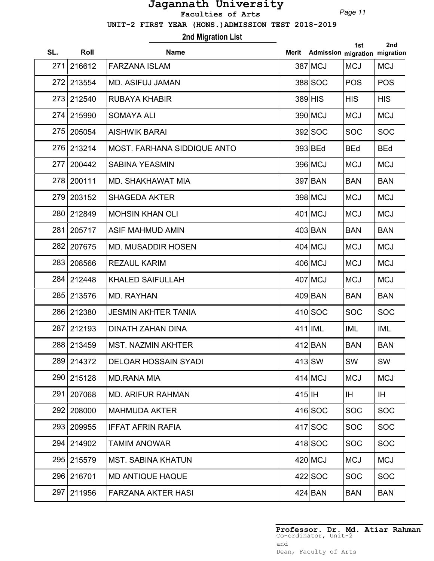*Page 11*

 **UNIT-2 FIRST YEAR (HONS.)ADMISSION TEST 2018-2019**

**2nd Migration List**

| SL. | Roll       | <b>Name</b>                 |           | Merit Admission migration migration | 1st        | 2nd        |
|-----|------------|-----------------------------|-----------|-------------------------------------|------------|------------|
| 271 | 216612     | <b>FARZANA ISLAM</b>        |           | 387 MCJ                             | <b>MCJ</b> | <b>MCJ</b> |
| 272 | 213554     | <b>MD. ASIFUJ JAMAN</b>     |           | 388 SOC                             | <b>POS</b> | <b>POS</b> |
| 273 | 212540     | <b>RUBAYA KHABIR</b>        |           | $389$ HIS                           | <b>HIS</b> | <b>HIS</b> |
|     | 274 215990 | <b>SOMAYA ALI</b>           |           | 390 MCJ                             | <b>MCJ</b> | <b>MCJ</b> |
| 275 | 205054     | <b>AISHWIK BARAI</b>        |           | 392 SOC                             | <b>SOC</b> | <b>SOC</b> |
|     | 276 213214 | MOST. FARHANA SIDDIQUE ANTO |           | 393 BEd                             | <b>BEd</b> | <b>BEd</b> |
| 277 | 200442     | <b>SABINA YEASMIN</b>       |           | 396 MCJ                             | <b>MCJ</b> | <b>MCJ</b> |
|     | 278 200111 | MD. SHAKHAWAT MIA           |           | 397 BAN                             | <b>BAN</b> | <b>BAN</b> |
| 279 | 203152     | <b>SHAGEDA AKTER</b>        |           | 398 MCJ                             | <b>MCJ</b> | <b>MCJ</b> |
|     | 280 212849 | <b>MOHSIN KHAN OLI</b>      |           | $401$ MCJ                           | <b>MCJ</b> | <b>MCJ</b> |
| 281 | 205717     | <b>ASIF MAHMUD AMIN</b>     |           | 403 BAN                             | <b>BAN</b> | <b>BAN</b> |
| 282 | 207675     | <b>MD. MUSADDIR HOSEN</b>   |           | $404$ MCJ                           | <b>MCJ</b> | <b>MCJ</b> |
| 283 | 208566     | <b>REZAUL KARIM</b>         |           | $406$ MCJ                           | <b>MCJ</b> | <b>MCJ</b> |
|     | 284 212448 | <b>KHALED SAIFULLAH</b>     |           | 407 MCJ                             | <b>MCJ</b> | <b>MCJ</b> |
| 285 | 213576     | MD. RAYHAN                  |           | 409 BAN                             | <b>BAN</b> | <b>BAN</b> |
|     | 286 212380 | <b>JESMIN AKHTER TANIA</b>  |           | $410$ SOC                           | <b>SOC</b> | <b>SOC</b> |
| 287 | 212193     | <b>DINATH ZAHAN DINA</b>    |           | $411$  IML                          | <b>IML</b> | <b>IML</b> |
|     | 288 213459 | <b>MST. NAZMIN AKHTER</b>   |           | $412$ $BAN$                         | <b>BAN</b> | <b>BAN</b> |
|     | 289 214372 | <b>DELOAR HOSSAIN SYADI</b> |           | $413$ SW                            | SW         | SW         |
| 290 | 215128     | <b>MD.RANA MIA</b>          |           | $414$ MCJ                           | <b>MCJ</b> | <b>MCJ</b> |
| 291 | 207068     | <b>MD. ARIFUR RAHMAN</b>    | $415$  IH |                                     | IH.        | IH.        |
| 292 | 208000     | <b>MAHMUDA AKTER</b>        |           | 416 SOC                             | <b>SOC</b> | <b>SOC</b> |
|     | 293 209955 | <b>IFFAT AFRIN RAFIA</b>    |           | 417 SOC                             | <b>SOC</b> | <b>SOC</b> |
|     | 294 214902 | <b>TAMIM ANOWAR</b>         |           | 418 SOC                             | <b>SOC</b> | <b>SOC</b> |
|     | 295 215579 | <b>MST. SABINA KHATUN</b>   |           | $420$ MCJ                           | <b>MCJ</b> | <b>MCJ</b> |
|     | 296 216701 | <b>MD ANTIQUE HAQUE</b>     |           | $422$ SOC                           | <b>SOC</b> | <b>SOC</b> |
| 297 | 211956     | <b>FARZANA AKTER HASI</b>   |           | $424$ BAN                           | <b>BAN</b> | <b>BAN</b> |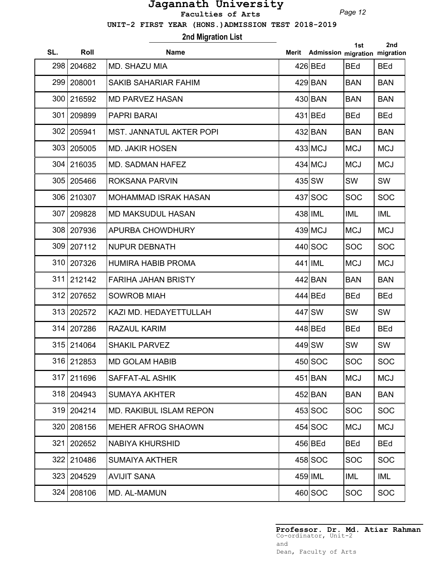*Page 12*

 **UNIT-2 FIRST YEAR (HONS.)ADMISSION TEST 2018-2019**

## **2nd Migration List**

| SL. | Roll       | <b>Name</b>                     | Merit | Admission migration migration | 1st        | 2nd        |
|-----|------------|---------------------------------|-------|-------------------------------|------------|------------|
| 298 | 204682     | MD. SHAZU MIA                   |       | 426 BEd                       | <b>BEd</b> | <b>BEd</b> |
| 299 | 208001     | <b>SAKIB SAHARIAR FAHIM</b>     |       | 429 BAN                       | <b>BAN</b> | <b>BAN</b> |
| 300 | 216592     | <b>MD PARVEZ HASAN</b>          |       | 430 BAN                       | <b>BAN</b> | <b>BAN</b> |
| 301 | 209899     | <b>PAPRI BARAI</b>              |       | 431 BEd                       | <b>BEd</b> | <b>BEd</b> |
|     | 302 205941 | <b>MST. JANNATUL AKTER POPI</b> |       | 432 BAN                       | <b>BAN</b> | <b>BAN</b> |
|     | 303 205005 | <b>MD. JAKIR HOSEN</b>          |       | $433$ MCJ                     | <b>MCJ</b> | <b>MCJ</b> |
|     | 304 216035 | <b>MD. SADMAN HAFEZ</b>         |       | $434$ MCJ                     | <b>MCJ</b> | <b>MCJ</b> |
|     | 305 205466 | ROKSANA PARVIN                  |       | 435 SW                        | SW         | SW         |
|     | 306 210307 | <b>MOHAMMAD ISRAK HASAN</b>     |       | 437 SOC                       | <b>SOC</b> | <b>SOC</b> |
| 307 | 209828     | <b>MD MAKSUDUL HASAN</b>        |       | 438 IML                       | <b>IML</b> | <b>IML</b> |
|     | 308 207936 | APURBA CHOWDHURY                |       | $439$ MCJ                     | <b>MCJ</b> | <b>MCJ</b> |
|     | 309 207112 | <b>NUPUR DEBNATH</b>            |       | 440 SOC                       | <b>SOC</b> | <b>SOC</b> |
|     | 310 207326 | <b>HUMIRA HABIB PROMA</b>       |       | 441 IML                       | <b>MCJ</b> | <b>MCJ</b> |
| 311 | 212142     | <b>FARIHA JAHAN BRISTY</b>      |       | 442 BAN                       | <b>BAN</b> | <b>BAN</b> |
| 312 | 207652     | <b>SOWROB MIAH</b>              |       | 444 BEd                       | <b>BEd</b> | <b>BEd</b> |
| 313 | 202572     | KAZI MD. HEDAYETTULLAH          |       | 447 SW                        | SW         | SW         |
| 314 | 207286     | RAZAUL KARIM                    |       | 448 BEd                       | <b>BEd</b> | <b>BEd</b> |
|     | 315 214064 | <b>SHAKIL PARVEZ</b>            |       | 449 SW                        | SW         | SW         |
|     | 316 212853 | <b>MD GOLAM HABIB</b>           |       | $450$ SOC                     | <b>SOC</b> | <b>SOC</b> |
| 317 | 211696     | <b>SAFFAT-AL ASHIK</b>          |       | $451$ BAN                     | <b>MCJ</b> | <b>MCJ</b> |
|     | 318 204943 | <b>SUMAYA AKHTER</b>            |       | $452$ BAN                     | <b>BAN</b> | <b>BAN</b> |
| 319 | 204214     | <b>MD. RAKIBUL ISLAM REPON</b>  |       | $453$ SOC                     | <b>SOC</b> | <b>SOC</b> |
| 320 | 208156     | <b>MEHER AFROG SHAOWN</b>       |       | $454$ SOC                     | <b>MCJ</b> | <b>MCJ</b> |
| 321 | 202652     | <b>NABIYA KHURSHID</b>          |       | 456 BEd                       | <b>BEd</b> | <b>BEd</b> |
| 322 | 210486     | <b>SUMAIYA AKTHER</b>           |       | $458$ SOC                     | <b>SOC</b> | <b>SOC</b> |
|     | 323 204529 | <b>AVIJIT SANA</b>              |       | $459$ IML                     | IML        | IML        |
|     | 324 208106 | MD. AL-MAMUN                    |       | $460$ SOC                     | <b>SOC</b> | <b>SOC</b> |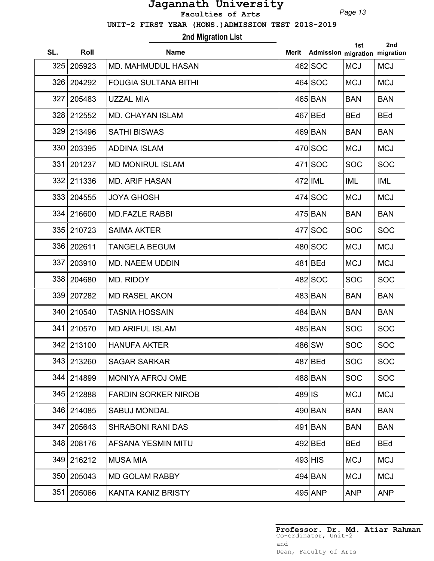*Page 13*

 **UNIT-2 FIRST YEAR (HONS.)ADMISSION TEST 2018-2019**

**2nd Migration List**

| SL. | Roll         | <b>Name</b>                 | Merit               | Admission migration migration | 1st        | 2nd        |
|-----|--------------|-----------------------------|---------------------|-------------------------------|------------|------------|
| 325 | 205923       | <b>MD. MAHMUDUL HASAN</b>   |                     | 462 SOC                       | <b>MCJ</b> | <b>MCJ</b> |
| 326 | 204292       | <b>FOUGIA SULTANA BITHI</b> |                     | $464$ SOC                     | <b>MCJ</b> | <b>MCJ</b> |
| 327 | 205483       | <b>UZZAL MIA</b>            |                     | 465 BAN                       | <b>BAN</b> | <b>BAN</b> |
|     | 328 212552   | <b>MD. CHAYAN ISLAM</b>     |                     | $467$ BEd                     | <b>BEd</b> | <b>BEd</b> |
|     | 329 213496   | <b>SATHI BISWAS</b>         |                     | 469 BAN                       | <b>BAN</b> | <b>BAN</b> |
|     | 330 203395   | <b>ADDINA ISLAM</b>         |                     | 470 SOC                       | <b>MCJ</b> | <b>MCJ</b> |
| 331 | 201237       | <b>MD MONIRUL ISLAM</b>     |                     | $471$ SOC                     | <b>SOC</b> | <b>SOC</b> |
|     | 332 211336   | <b>MD. ARIF HASAN</b>       |                     | 472 IML                       | <b>IML</b> | IML        |
|     | 333   204555 | <b>JOYA GHOSH</b>           |                     | $474$ SOC                     | <b>MCJ</b> | <b>MCJ</b> |
|     | 334 216600   | <b>MD.FAZLE RABBI</b>       |                     | 475 BAN                       | <b>BAN</b> | <b>BAN</b> |
|     | 335 210723   | <b>SAIMA AKTER</b>          |                     | 477 SOC                       | <b>SOC</b> | <b>SOC</b> |
|     | 336 202611   | <b>TANGELA BEGUM</b>        |                     | 480 SOC                       | <b>MCJ</b> | <b>MCJ</b> |
| 337 | 203910       | <b>MD. NAEEM UDDIN</b>      |                     | $481$ BEd                     | <b>MCJ</b> | <b>MCJ</b> |
|     | 338 204680   | <b>MD. RIDOY</b>            |                     | 482 SOC                       | <b>SOC</b> | <b>SOC</b> |
| 339 | 207282       | <b>MD RASEL AKON</b>        |                     | 483 BAN                       | <b>BAN</b> | <b>BAN</b> |
|     | 340 210540   | <b>TASNIA HOSSAIN</b>       |                     | 484 BAN                       | <b>BAN</b> | <b>BAN</b> |
|     | 341 210570   | <b>MD ARIFUL ISLAM</b>      |                     | 485 BAN                       | <b>SOC</b> | <b>SOC</b> |
|     | 342 213100   | <b>HANUFA AKTER</b>         |                     | 486 SW                        | <b>SOC</b> | <b>SOC</b> |
|     | 343 213260   | SAGAR SARKAR                |                     | $487$ BEd                     | <b>SOC</b> | <b>SOC</b> |
|     | 344 214899   | <b>MONIYA AFROJ OME</b>     |                     | 488 BAN                       | <b>SOC</b> | <b>SOC</b> |
|     | 345 212888   | <b>FARDIN SORKER NIROB</b>  | $489$ <sub>IS</sub> |                               | <b>MCJ</b> | <b>MCJ</b> |
|     | 346 214085   | <b>SABUJ MONDAL</b>         |                     | 490 BAN                       | <b>BAN</b> | <b>BAN</b> |
| 347 | 205643       | <b>SHRABONI RANI DAS</b>    |                     | 491 BAN                       | <b>BAN</b> | <b>BAN</b> |
|     | 348 208176   | AFSANA YESMIN MITU          |                     | 492 BEd                       | <b>BEd</b> | <b>BEd</b> |
|     | 349 216212   | <b>MUSA MIA</b>             |                     | $493$ HIS                     | <b>MCJ</b> | <b>MCJ</b> |
|     | 350   205043 | <b>MD GOLAM RABBY</b>       |                     | 494 BAN                       | <b>MCJ</b> | <b>MCJ</b> |
| 351 | 205066       | KANTA KANIZ BRISTY          |                     | 495 ANP                       | <b>ANP</b> | <b>ANP</b> |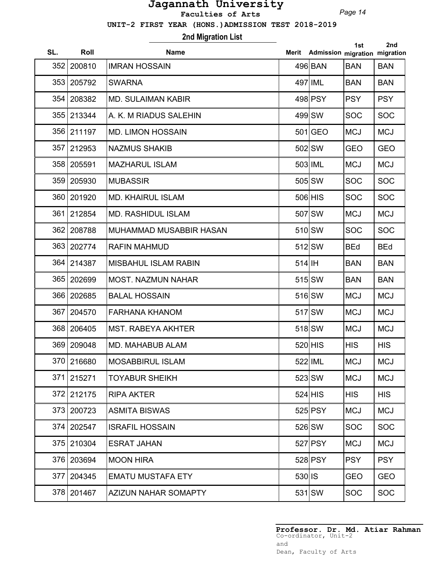*Page 14*

 **UNIT-2 FIRST YEAR (HONS.)ADMISSION TEST 2018-2019**

# **2nd Migration List**

| SL. | Roll         | <b>Name</b>                    | Merit               | Admission migration migration | 1st        | 2nd        |
|-----|--------------|--------------------------------|---------------------|-------------------------------|------------|------------|
| 352 | 200810       | IIMRAN HOSSAIN                 |                     | 496 BAN                       | <b>BAN</b> | <b>BAN</b> |
|     | 353 205792   | <b>SWARNA</b>                  |                     | 497 IML                       | <b>BAN</b> | <b>BAN</b> |
| 354 | 208382       | <b>MD. SULAIMAN KABIR</b>      |                     | 498 PSY                       | <b>PSY</b> | <b>PSY</b> |
|     | 355 213344   | A. K. M RIADUS SALEHIN         |                     | 499 SW                        | <b>SOC</b> | <b>SOC</b> |
|     | 356 211197   | <b>MD. LIMON HOSSAIN</b>       |                     | $501$ GEO                     | <b>MCJ</b> | <b>MCJ</b> |
| 357 | 212953       | <b>NAZMUS SHAKIB</b>           |                     | 502 SW                        | <b>GEO</b> | <b>GEO</b> |
|     | 358 205591   | <b>MAZHARUL ISLAM</b>          |                     | 503 IML                       | <b>MCJ</b> | <b>MCJ</b> |
|     | 359 205930   | <b>MUBASSIR</b>                |                     | 505 SW                        | <b>SOC</b> | <b>SOC</b> |
|     | 360   201920 | <b>MD. KHAIRUL ISLAM</b>       |                     | $506$ HIS                     | <b>SOC</b> | <b>SOC</b> |
| 361 | 212854       | <b>MD. RASHIDUL ISLAM</b>      |                     | 507 SW                        | <b>MCJ</b> | <b>MCJ</b> |
|     | 362   208788 | <b>MUHAMMAD MUSABBIR HASAN</b> |                     | 510 SW                        | <b>SOC</b> | <b>SOC</b> |
|     | 363 202774   | <b>RAFIN MAHMUD</b>            |                     | 512 SW                        | <b>BEd</b> | <b>BEd</b> |
|     | 364 214387   | <b>MISBAHUL ISLAM RABIN</b>    | $514$  IH           |                               | <b>BAN</b> | <b>BAN</b> |
| 365 | 202699       | <b>MOST. NAZMUN NAHAR</b>      |                     | $515$ $SW$                    | <b>BAN</b> | <b>BAN</b> |
| 366 | 202685       | <b>BALAL HOSSAIN</b>           |                     | 516 SW                        | <b>MCJ</b> | <b>MCJ</b> |
| 367 | 204570       | <b>FARHANA KHANOM</b>          |                     | 517 SW                        | <b>MCJ</b> | <b>MCJ</b> |
|     | 368   206405 | <b>MST. RABEYA AKHTER</b>      |                     | 518 SW                        | <b>MCJ</b> | <b>MCJ</b> |
|     | 369 209048   | <b>MD. MAHABUB ALAM</b>        |                     | $520$ $HIS$                   | <b>HIS</b> | <b>HIS</b> |
|     | 370 216680   | <b>MOSABBIRUL ISLAM</b>        |                     | 522 IML                       | <b>MCJ</b> | <b>MCJ</b> |
| 371 | 215271       | <b>TOYABUR SHEIKH</b>          |                     | $523$ $SW$                    | <b>MCJ</b> | <b>MCJ</b> |
| 372 | 212175       | <b>RIPA AKTER</b>              |                     | $524$ HIS                     | <b>HIS</b> | <b>HIS</b> |
| 373 | 200723       | <b>ASMITA BISWAS</b>           |                     | $525$ PSY                     | <b>MCJ</b> | <b>MCJ</b> |
| 374 | 202547       | <b>ISRAFIL HOSSAIN</b>         |                     | 526 SW                        | <b>SOC</b> | <b>SOC</b> |
|     | 375 210304   | <b>ESRAT JAHAN</b>             |                     | $527$ PSY                     | <b>MCJ</b> | <b>MCJ</b> |
|     | 376 203694   | <b>MOON HIRA</b>               |                     | 528 PSY                       | <b>PSY</b> | <b>PSY</b> |
| 377 | 204345       | <b>EMATU MUSTAFA ETY</b>       | $530$ <sub>IS</sub> |                               | <b>GEO</b> | <b>GEO</b> |
|     | 378 201467   | AZIZUN NAHAR SOMAPTY           |                     | $531$ SW                      | <b>SOC</b> | <b>SOC</b> |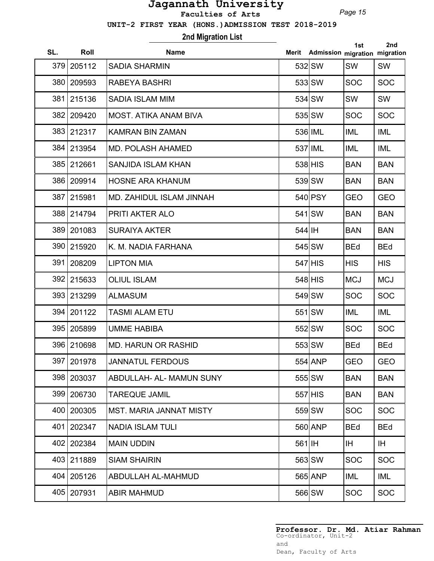*Page 15*

 **UNIT-2 FIRST YEAR (HONS.)ADMISSION TEST 2018-2019**

## **2nd Migration List**

| SL. | Roll       | <b>Name</b>                     | Merit  | Admission migration migration | 1st        | 2nd        |
|-----|------------|---------------------------------|--------|-------------------------------|------------|------------|
| 379 | 205112     | <b>SADIA SHARMIN</b>            |        | 532 SW                        | SW         | SW         |
| 380 | 209593     | <b>RABEYA BASHRI</b>            |        | 533 SW                        | <b>SOC</b> | <b>SOC</b> |
| 381 | 215136     | <b>SADIA ISLAM MIM</b>          |        | 534 SW                        | SW         | SW         |
| 382 | 209420     | <b>MOST. ATIKA ANAM BIVA</b>    |        | 535 SW                        | <b>SOC</b> | <b>SOC</b> |
|     | 383 212317 | <b>KAMRAN BIN ZAMAN</b>         |        | 536 IML                       | <b>IML</b> | IML        |
|     | 384 213954 | <b>MD. POLASH AHAMED</b>        |        | 537 IML                       | <b>IML</b> | IML        |
|     | 385 212661 | <b>SANJIDA ISLAM KHAN</b>       |        | $538$ $HIS$                   | <b>BAN</b> | <b>BAN</b> |
|     | 386 209914 | <b>HOSNE ARA KHANUM</b>         |        | $539$ $SW$                    | <b>BAN</b> | <b>BAN</b> |
| 387 | 215981     | MD. ZAHIDUL ISLAM JINNAH        |        | 540 PSY                       | <b>GEO</b> | <b>GEO</b> |
|     | 388 214794 | PRITI AKTER ALO                 |        | $541$ SW                      | <b>BAN</b> | <b>BAN</b> |
|     | 389 201083 | <b>SURAIYA AKTER</b>            | 544 IH |                               | <b>BAN</b> | <b>BAN</b> |
|     | 390 215920 | K. M. NADIA FARHANA             |        | 545 SW                        | <b>BEd</b> | <b>BEd</b> |
| 391 | 208209     | <b>LIPTON MIA</b>               |        | $547$ HIS                     | <b>HIS</b> | <b>HIS</b> |
| 392 | 215633     | <b>OLIUL ISLAM</b>              |        | $548$ HIS                     | <b>MCJ</b> | <b>MCJ</b> |
| 393 | 213299     | <b>ALMASUM</b>                  |        | 549 SW                        | <b>SOC</b> | <b>SOC</b> |
| 394 | 201122     | <b>TASMI ALAM ETU</b>           |        | $551$ SW                      | <b>IML</b> | IML        |
|     | 395 205899 | <b>UMME HABIBA</b>              |        | 552 SW                        | <b>SOC</b> | <b>SOC</b> |
|     | 396 210698 | <b>MD. HARUN OR RASHID</b>      |        | 553 SW                        | <b>BEd</b> | <b>BEd</b> |
|     | 397 201978 | <b>JANNATUL FERDOUS</b>         |        | 554 ANP                       | GEO        | <b>GEO</b> |
|     | 398 203037 | <b>ABDULLAH- AL- MAMUN SUNY</b> |        | $555$ SW                      | <b>BAN</b> | <b>BAN</b> |
|     | 399 206730 | <b>TAREQUE JAMIL</b>            |        | $557$ HIS                     | <b>BAN</b> | <b>BAN</b> |
| 400 | 200305     | <b>MST. MARIA JANNAT MISTY</b>  |        | 559 SW                        | <b>SOC</b> | <b>SOC</b> |
| 401 | 202347     | <b>NADIA ISLAM TULI</b>         |        | 560 ANP                       | <b>BEd</b> | <b>BEd</b> |
| 402 | 202384     | <b>MAIN UDDIN</b>               | 561 IH |                               | IH.        | IH         |
|     | 403 211889 | <b>SIAM SHAIRIN</b>             |        | 563 SW                        | <b>SOC</b> | <b>SOC</b> |
|     | 404 205126 | ABDULLAH AL-MAHMUD              |        | 565 ANP                       | IML        | IML        |
|     | 405 207931 | <b>ABIR MAHMUD</b>              |        | 566 SW                        | <b>SOC</b> | <b>SOC</b> |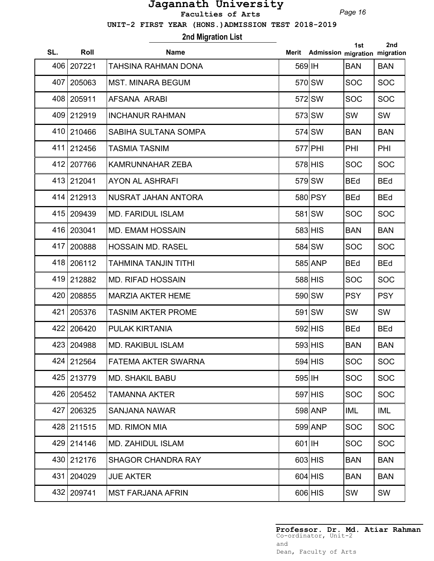*Page 16*

 **UNIT-2 FIRST YEAR (HONS.)ADMISSION TEST 2018-2019**

# **2nd Migration List**

| SL. | Roll         | <b>Name</b>                |        | Merit Admission migration migration | 1st        | 2nd        |
|-----|--------------|----------------------------|--------|-------------------------------------|------------|------------|
|     | 406 207221   | TAHSINA RAHMAN DONA        | 569 IH |                                     | <b>BAN</b> | <b>BAN</b> |
| 407 | 205063       | <b>MST. MINARA BEGUM</b>   |        | 570 SW                              | <b>SOC</b> | <b>SOC</b> |
|     | 408 205911   | AFSANA ARABI               |        | 572 SW                              | <b>SOC</b> | <b>SOC</b> |
|     | 409 212919   | <b>INCHANUR RAHMAN</b>     |        | 573 SW                              | SW         | <b>SW</b>  |
|     | 410 210466   | SABIHA SULTANA SOMPA       |        | 574 SW                              | <b>BAN</b> | <b>BAN</b> |
|     | 411 212456   | <b>TASMIA TASNIM</b>       |        | 577 PHI                             | PHI        | <b>PHI</b> |
|     | 412 207766   | <b>KAMRUNNAHAR ZEBA</b>    |        | $578$ HIS                           | <b>SOC</b> | <b>SOC</b> |
|     | 413 212041   | <b>AYON AL ASHRAFI</b>     |        | 579 SW                              | <b>BEd</b> | <b>BEd</b> |
|     | 414 212913   | NUSRAT JAHAN ANTORA        |        | 580 PSY                             | <b>BEd</b> | <b>BEd</b> |
|     | 415 209439   | <b>MD. FARIDUL ISLAM</b>   |        | 581 SW                              | <b>SOC</b> | <b>SOC</b> |
|     | 416 203041   | <b>MD. EMAM HOSSAIN</b>    |        | 583 HIS                             | <b>BAN</b> | <b>BAN</b> |
| 417 | 200888       | <b>HOSSAIN MD. RASEL</b>   |        | 584 SW                              | <b>SOC</b> | <b>SOC</b> |
| 418 | 206112       | TAHMINA TANJIN TITHI       |        | 585 ANP                             | <b>BEd</b> | <b>BEd</b> |
| 419 | 212882       | <b>MD. RIFAD HOSSAIN</b>   |        | 588 HIS                             | <b>SOC</b> | <b>SOC</b> |
| 420 | 208855       | <b>MARZIA AKTER HEME</b>   |        | 590 SW                              | <b>PSY</b> | <b>PSY</b> |
| 421 | 205376       | <b>TASNIM AKTER PROME</b>  |        | $591$ $SW$                          | SW         | SW         |
| 422 | 206420       | PULAK KIRTANIA             |        | $592$ HIS                           | <b>BEd</b> | <b>BEd</b> |
|     | 423 204988   | <b>MD. RAKIBUL ISLAM</b>   |        | $593$ HIS                           | <b>BAN</b> | <b>BAN</b> |
|     | 424 212564   | <b>FATEMA AKTER SWARNA</b> |        | $594$ HIS                           | <b>SOC</b> | <b>SOC</b> |
|     | 425 213779   | <b>MD. SHAKIL BABU</b>     | 595 IH |                                     | <b>SOC</b> | <b>SOC</b> |
| 426 | 205452       | TAMANNA AKTER              |        | $597$ HIS                           | <b>SOC</b> | <b>SOC</b> |
| 427 | 206325       | <b>SANJANA NAWAR</b>       |        | 598 ANP                             | IML        | IML        |
|     | 428 211515   | <b>MD. RIMON MIA</b>       |        | 599 ANP                             | <b>SOC</b> | <b>SOC</b> |
|     | 429 214146   | <b>MD. ZAHIDUL ISLAM</b>   | 601 IH |                                     | <b>SOC</b> | <b>SOC</b> |
|     | 430 212176   | <b>SHAGOR CHANDRA RAY</b>  |        | $603$ $HIS$                         | <b>BAN</b> | <b>BAN</b> |
|     | 431   204029 | <b>JUE AKTER</b>           |        | $604$ HIS                           | <b>BAN</b> | <b>BAN</b> |
|     | 432 209741   | <b>MST FARJANA AFRIN</b>   |        | $606$ HIS                           | SW         | SW         |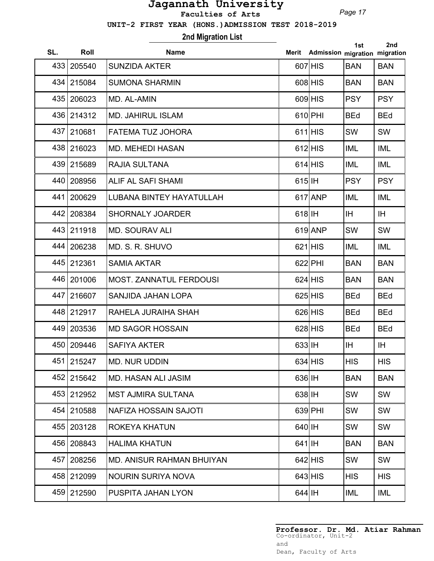*Page 17*

 **UNIT-2 FIRST YEAR (HONS.)ADMISSION TEST 2018-2019**

## **2nd Migration List**

| SL. | Roll         | <b>Name</b>                      | Merit     | Admission migration migration | 1st        | 2nd        |
|-----|--------------|----------------------------------|-----------|-------------------------------|------------|------------|
| 433 | 205540       | <b>SUNZIDA AKTER</b>             |           | 607 HIS                       | <b>BAN</b> | <b>BAN</b> |
| 434 | 215084       | <b>SUMONA SHARMIN</b>            |           | 608 HIS                       | <b>BAN</b> | <b>BAN</b> |
|     | 435 206023   | MD. AL-AMIN                      |           | $609$ HIS                     | <b>PSY</b> | <b>PSY</b> |
|     | 436 214312   | <b>MD. JAHIRUL ISLAM</b>         |           | 610 PHI                       | <b>BEd</b> | <b>BEd</b> |
|     | 437   210681 | <b>FATEMA TUZ JOHORA</b>         |           | $611$ HIS                     | SW         | <b>SW</b>  |
|     | 438 216023   | <b>MD. MEHEDI HASAN</b>          |           | $612$ HIS                     | <b>IML</b> | IML        |
|     | 439 215689   | <b>RAJIA SULTANA</b>             |           | $614$ HIS                     | <b>IML</b> | IML        |
| 440 | 208956       | ALIF AL SAFI SHAMI               | $615$  IH |                               | <b>PSY</b> | <b>PSY</b> |
| 441 | 200629       | <b>LUBANA BINTEY HAYATULLAH</b>  |           | $617$ ANP                     | <b>IML</b> | IML        |
|     | 442 208384   | <b>SHORNALY JOARDER</b>          | $618$  IH |                               | IH.        | IH.        |
|     | 443 211918   | <b>MD. SOURAV ALI</b>            |           | 619 ANP                       | SW         | <b>SW</b>  |
|     | 444 206238   | MD. S. R. SHUVO                  |           | $621$ $HIS$                   | <b>IML</b> | IML        |
|     | 445 212361   | <b>SAMIA AKTAR</b>               |           | 622 PHI                       | <b>BAN</b> | <b>BAN</b> |
| 446 | 201006       | MOST. ZANNATUL FERDOUSI          |           | $624$ HIS                     | <b>BAN</b> | <b>BAN</b> |
| 447 | 216607       | SANJIDA JAHAN LOPA               |           | $625$ HIS                     | <b>BEd</b> | <b>BEd</b> |
|     | 448 212917   | RAHELA JURAIHA SHAH              |           | $626$ $HIS$                   | <b>BEd</b> | <b>BEd</b> |
|     | 449 203536   | <b>MD SAGOR HOSSAIN</b>          |           | $628$ HIS                     | <b>BEd</b> | <b>BEd</b> |
|     | 450   209446 | <b>SAFIYA AKTER</b>              | 633 IH    |                               | IH.        | IH.        |
| 451 | 215247       | MD. NUR UDDIN                    |           | $634$ HIS                     | <b>HIS</b> | <b>HIS</b> |
|     | 452 215642   | <b>MD. HASAN ALI JASIM</b>       | $636$  IH |                               | <b>BAN</b> | <b>BAN</b> |
|     | 453 212952   | <b>MST AJMIRA SULTANA</b>        | $638$ IH  |                               | SW         | SW         |
| 454 | 210588       | <b>NAFIZA HOSSAIN SAJOTI</b>     |           | $639$ PHI                     | SW         | SW         |
| 455 | 203128       | ROKEYA KHATUN                    | $640$ IH  |                               | SW         | SW         |
| 456 | 208843       | <b>HALIMA KHATUN</b>             | $641$  IH |                               | <b>BAN</b> | <b>BAN</b> |
| 457 | 208256       | <b>MD. ANISUR RAHMAN BHUIYAN</b> |           | $642$ HIS                     | SW         | <b>SW</b>  |
|     | 458 212099   | <b>NOURIN SURIYA NOVA</b>        |           | $643$ HIS                     | <b>HIS</b> | <b>HIS</b> |
|     | 459 212590   | PUSPITA JAHAN LYON               | $644$ IH  |                               | <b>IML</b> | IML        |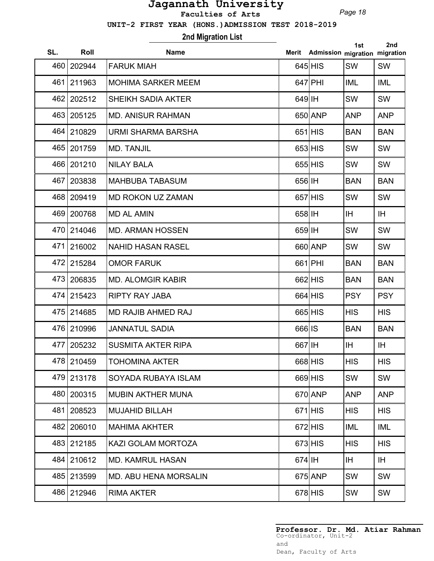*Page 18*

 **UNIT-2 FIRST YEAR (HONS.)ADMISSION TEST 2018-2019**

## **2nd Migration List**

| SL. | Roll         | <b>Name</b>                  | Merit    | Admission migration migration | 1st        | 2nd        |
|-----|--------------|------------------------------|----------|-------------------------------|------------|------------|
| 460 | 202944       | <b>FARUK MIAH</b>            |          | $645$ HIS                     | SW         | SW         |
| 461 | 211963       | <b>MOHIMA SARKER MEEM</b>    |          | $647$ PHI                     | <b>IML</b> | <b>IML</b> |
| 462 | 202512       | <b>SHEIKH SADIA AKTER</b>    | 649 IH   |                               | SW         | SW         |
| 463 | 205125       | <b>MD. ANISUR RAHMAN</b>     |          | 650 ANP                       | <b>ANP</b> | <b>ANP</b> |
|     | 464 210829   | <b>URMI SHARMA BARSHA</b>    |          | $651$ HIS                     | <b>BAN</b> | <b>BAN</b> |
|     | 465 201759   | <b>MD. TANJIL</b>            |          | $653$ $HIS$                   | SW         | SW         |
|     | 466 201210   | <b>NILAY BALA</b>            |          | $655$ $HIS$                   | <b>SW</b>  | SW         |
| 467 | 203838       | <b>MAHBUBA TABASUM</b>       | 656 IH   |                               | <b>BAN</b> | <b>BAN</b> |
|     | 468   209419 | <b>MD ROKON UZ ZAMAN</b>     |          | $657$ HIS                     | SW         | SW         |
| 469 | 200768       | <b>MD AL AMIN</b>            | 658 IH   |                               | <b>IH</b>  | IH         |
| 470 | 214046       | <b>MD. ARMAN HOSSEN</b>      | 659 IH   |                               | SW         | SW         |
| 471 | 216002       | <b>NAHID HASAN RASEL</b>     |          | 660 ANP                       | <b>SW</b>  | SW         |
| 472 | 215284       | <b>OMOR FARUK</b>            |          | 661 PHI                       | <b>BAN</b> | <b>BAN</b> |
| 473 | 206835       | <b>MD. ALOMGIR KABIR</b>     |          | 662 HIS                       | <b>BAN</b> | <b>BAN</b> |
| 474 | 215423       | <b>RIPTY RAY JABA</b>        |          | $664$ HIS                     | <b>PSY</b> | <b>PSY</b> |
| 475 | 214685       | <b>MD RAJIB AHMED RAJ</b>    |          | $665$ HIS                     | <b>HIS</b> | <b>HIS</b> |
|     | 476 210996   | <b>JANNATUL SADIA</b>        | 666 IS   |                               | <b>BAN</b> | <b>BAN</b> |
| 477 | 205232       | <b>SUSMITA AKTER RIPA</b>    | 667 IH   |                               | <b>IH</b>  | IH         |
| 478 | 210459       | <b>TOHOMINA AKTER</b>        |          | 668 HIS                       | <b>HIS</b> | <b>HIS</b> |
|     | 479 213178   | SOYADA RUBAYA ISLAM          |          | 669 HIS                       | SW         | SW         |
| 480 | 200315       | <b>MUBIN AKTHER MUNA</b>     |          | 670 ANP                       | <b>ANP</b> | <b>ANP</b> |
| 481 | 208523       | <b>MUJAHID BILLAH</b>        |          | $671$ HIS                     | <b>HIS</b> | <b>HIS</b> |
| 482 | 206010       | <b>MAHIMA AKHTER</b>         |          | $672$ HIS                     | <b>IML</b> | IML        |
| 483 | 212185       | KAZI GOLAM MORTOZA           |          | $673$ $HIS$                   | <b>HIS</b> | <b>HIS</b> |
| 484 | 210612       | <b>MD. KAMRUL HASAN</b>      | $674$ IH |                               | IH.        | IH.        |
|     | 485 213599   | <b>MD. ABU HENA MORSALIN</b> |          | 675 ANP                       | SW         | SW         |
|     | 486 212946   | <b>RIMA AKTER</b>            |          | $678$ $HIS$                   | SW         | SW         |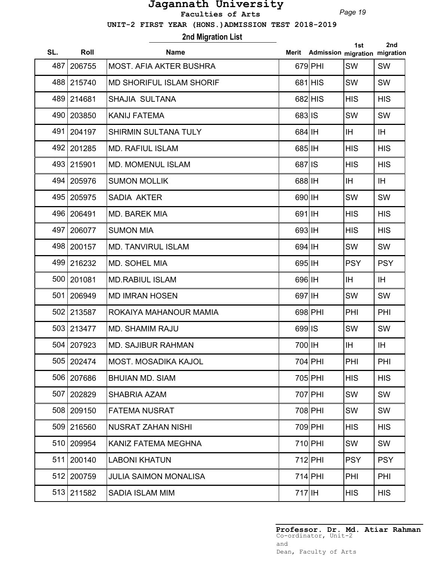*Page 19*

 **UNIT-2 FIRST YEAR (HONS.)ADMISSION TEST 2018-2019**

# **2nd Migration List**

| SL. | Roll       | <b>Name</b>                     | Merit     | Admission migration migration | 1st        | 2nd        |
|-----|------------|---------------------------------|-----------|-------------------------------|------------|------------|
| 487 | 206755     | <b>MOST. AFIA AKTER BUSHRA</b>  |           | $679$ PHI                     | SW         | SW         |
| 488 | 215740     | <b>MD SHORIFUL ISLAM SHORIF</b> |           | $681$ $HIS$                   | SW         | SW         |
|     | 489 214681 | <b>SHAJIA SULTANA</b>           |           | 682 HIS                       | <b>HIS</b> | <b>HIS</b> |
| 490 | 203850     | <b>KANIJ FATEMA</b>             | 683 IS    |                               | SW         | SW         |
| 491 | 204197     | <b>SHIRMIN SULTANA TULY</b>     | 684 IH    |                               | IH.        | IH         |
| 492 | 201285     | <b>MD. RAFIUL ISLAM</b>         | 685 IH    |                               | <b>HIS</b> | <b>HIS</b> |
| 493 | 215901     | <b>MD. MOMENUL ISLAM</b>        | 687 IS    |                               | <b>HIS</b> | <b>HIS</b> |
| 494 | 205976     | <b>SUMON MOLLIK</b>             | $688$  IH |                               | IH.        | IH         |
| 495 | 205975     | <b>SADIA AKTER</b>              | 690 IH    |                               | <b>SW</b>  | SW         |
|     | 496 206491 | <b>MD. BAREK MIA</b>            | 691 IH    |                               | <b>HIS</b> | <b>HIS</b> |
| 497 | 206077     | <b>SUMON MIA</b>                | 693       |                               | <b>HIS</b> | <b>HIS</b> |
|     | 498 200157 | <b>MD. TANVIRUL ISLAM</b>       | 694 IH    |                               | SW         | <b>SW</b>  |
|     | 499 216232 | MD. SOHEL MIA                   | 695 IH    |                               | <b>PSY</b> | <b>PSY</b> |
| 500 | 201081     | <b>MD.RABIUL ISLAM</b>          | 696 IH    |                               | IH.        | IH         |
| 501 | 206949     | <b>MD IMRAN HOSEN</b>           | 697 IH    |                               | SW         | SW         |
| 502 | 213587     | ROKAIYA MAHANOUR MAMIA          |           | $698$ PHI                     | PHI        | PHI        |
|     | 503 213477 | <b>MD. SHAMIM RAJU</b>          | 699 IS    |                               | SW         | SW         |
|     | 504 207923 | MD. SAJIBUR RAHMAN              | 700 IH    |                               | IH.        | IH         |
|     | 505 202474 | MOST. MOSADIKA KAJOL            |           | 704 PHI                       | <b>PHI</b> | PHI        |
|     | 506 207686 | <b>BHUIAN MD, SIAM</b>          |           | 705 PHI                       | <b>HIS</b> | <b>HIS</b> |
| 507 | 202829     | <b>SHABRIA AZAM</b>             |           | 707 PHI                       | SW         | <b>SW</b>  |
| 508 | 209150     | <b>FATEMA NUSRAT</b>            |           | 708 PHI                       | SW         | SW         |
| 509 | 216560     | <b>NUSRAT ZAHAN NISHI</b>       |           | 709 PHI                       | <b>HIS</b> | <b>HIS</b> |
| 510 | 209954     | KANIZ FATEMA MEGHNA             |           | $710$ PHI                     | SW         | <b>SW</b>  |
| 511 | 200140     | <b>LABONI KHATUN</b>            |           | $712$ PHI                     | <b>PSY</b> | <b>PSY</b> |
| 512 | 200759     | <b>JULIA SAIMON MONALISA</b>    |           | $714$ PHI                     | PHI        | PHI        |
|     | 513 211582 | <b>SADIA ISLAM MIM</b>          | $717$ IH  |                               | <b>HIS</b> | <b>HIS</b> |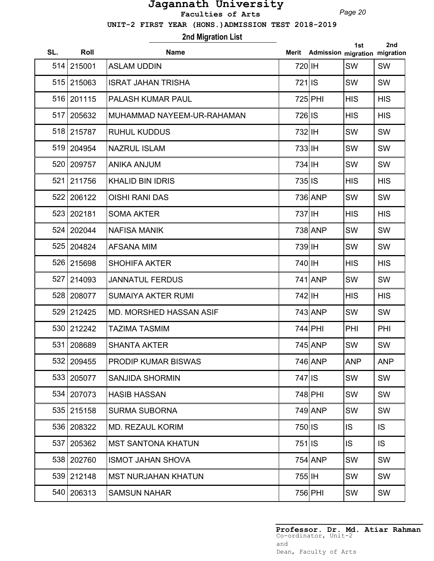*Page 20*

 **UNIT-2 FIRST YEAR (HONS.)ADMISSION TEST 2018-2019**

# **2nd Migration List**

| SL. | Roll       | <b>Name</b>                |                     | Merit Admission migration migration | 1st        | 2nd        |
|-----|------------|----------------------------|---------------------|-------------------------------------|------------|------------|
|     | 514 215001 | <b>ASLAM UDDIN</b>         | 720 IH              |                                     | SW         | <b>SW</b>  |
|     | 515 215063 | <b>ISRAT JAHAN TRISHA</b>  | 721 IS              |                                     | SW         | <b>SW</b>  |
|     | 516 201115 | PALASH KUMAR PAUL          |                     | 725 PHI                             | <b>HIS</b> | <b>HIS</b> |
| 517 | 205632     | MUHAMMAD NAYEEM-UR-RAHAMAN | 726 IS              |                                     | <b>HIS</b> | <b>HIS</b> |
|     | 518 215787 | <b>RUHUL KUDDUS</b>        | 732 IH              |                                     | SW         | SW         |
| 519 | 204954     | <b>NAZRUL ISLAM</b>        | $733$  IH           |                                     | SW         | SW         |
| 520 | 209757     | <b>ANIKA ANJUM</b>         | 734 IH              |                                     | SW         | <b>SW</b>  |
| 521 | 211756     | <b>KHALID BIN IDRIS</b>    | 735 IS              |                                     | <b>HIS</b> | <b>HIS</b> |
| 522 | 206122     | <b>OISHI RANI DAS</b>      |                     | 736 ANP                             | SW         | <b>SW</b>  |
|     | 523 202181 | <b>SOMA AKTER</b>          | 737 IH              |                                     | <b>HIS</b> | <b>HIS</b> |
|     | 524 202044 | <b>NAFISA MANIK</b>        |                     | 738 ANP                             | <b>SW</b>  | <b>SW</b>  |
|     | 525 204824 | <b>AFSANA MIM</b>          | 739 IH              |                                     | SW         | SW         |
| 526 | 215698     | <b>SHOHIFA AKTER</b>       | 740 IH              |                                     | <b>HIS</b> | <b>HIS</b> |
| 527 | 214093     | <b>JANNATUL FERDUS</b>     |                     | 741 ANP                             | SW         | SW         |
| 528 | 208077     | <b>SUMAIYA AKTER RUMI</b>  | 742 IH              |                                     | <b>HIS</b> | <b>HIS</b> |
| 529 | 212425     | MD. MORSHED HASSAN ASIF    |                     | 743 ANP                             | SW         | SW         |
|     | 530 212242 | <b>TAZIMA TASMIM</b>       |                     | 744 PHI                             | PHI        | PHI        |
|     | 531 208689 | <b>SHANTA AKTER</b>        |                     | 745 ANP                             | <b>SW</b>  | SW         |
|     | 532 209455 | PRODIP KUMAR BISWAS        |                     | 746 ANP                             | <b>ANP</b> | <b>ANP</b> |
| 533 | 205077     | <b>SANJIDA SHORMIN</b>     | $747$ <sub>IS</sub> |                                     | SW         | SW         |
| 534 | 207073     | <b>HASIB HASSAN</b>        |                     | 748 PHI                             | SW         | SW         |
|     | 535 215158 | <b>SURMA SUBORNA</b>       |                     | 749 ANP                             | SW         | SW         |
| 536 | 208322     | <b>MD. REZAUL KORIM</b>    | 750 IS              |                                     | IS         | IS.        |
| 537 | 205362     | <b>MST SANTONA KHATUN</b>  | $751$ IS            |                                     | IS         | IS.        |
|     | 538 202760 | <b>ISMOT JAHAN SHOVA</b>   |                     | 754 ANP                             | SW         | SW         |
|     | 539 212148 | <b>MST NURJAHAN KHATUN</b> | 755 IH              |                                     | SW         | SW         |
|     | 540 206313 | <b>SAMSUN NAHAR</b>        |                     | 756 PHI                             | SW         | SW         |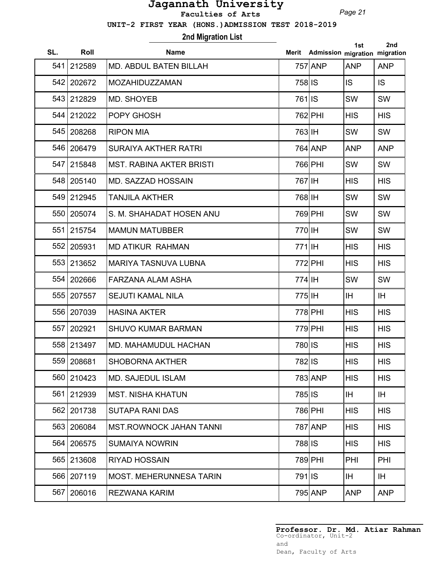*Page 21*

 **UNIT-2 FIRST YEAR (HONS.)ADMISSION TEST 2018-2019**

**2nd Migration List**

| SL. | Roll       | <b>Name</b>                     |          | Merit Admission migration migration | 1st        | 2nd        |
|-----|------------|---------------------------------|----------|-------------------------------------|------------|------------|
| 541 | 212589     | <b>MD. ABDUL BATEN BILLAH</b>   |          | 757 ANP                             | <b>ANP</b> | <b>ANP</b> |
|     | 542 202672 | MOZAHIDUZZAMAN                  | 758 IS   |                                     | IS.        | <b>IS</b>  |
| 543 | 212829     | MD. SHOYEB                      | 761 IS   |                                     | SW         | SW         |
|     | 544 212022 | POPY GHOSH                      |          | 762 PHI                             | <b>HIS</b> | <b>HIS</b> |
|     | 545 208268 | <b>RIPON MIA</b>                | 763 IH   |                                     | SW         | SW         |
|     | 546 206479 | <b>SURAIYA AKTHER RATRI</b>     |          | 764 ANP                             | <b>ANP</b> | <b>ANP</b> |
| 547 | 215848     | <b>MST. RABINA AKTER BRISTI</b> |          | 766 PHI                             | SW         | SW         |
|     | 548 205140 | <b>MD. SAZZAD HOSSAIN</b>       | 767 IH   |                                     | <b>HIS</b> | <b>HIS</b> |
|     | 549 212945 | <b>TANJILA AKTHER</b>           | 768 IH   |                                     | SW         | SW         |
| 550 | 205074     | S. M. SHAHADAT HOSEN ANU        |          | 769 PHI                             | SW         | SW         |
| 551 | 215754     | <b>MAMUN MATUBBER</b>           | 770 IH   |                                     | SW         | SW         |
| 552 | 205931     | <b>MD ATIKUR RAHMAN</b>         | 771 IH   |                                     | <b>HIS</b> | <b>HIS</b> |
| 553 | 213652     | <b>MARIYA TASNUVA LUBNA</b>     |          | 772 PHI                             | <b>HIS</b> | <b>HIS</b> |
| 554 | 202666     | <b>FARZANA ALAM ASHA</b>        | 774 IH   |                                     | SW         | SW         |
| 555 | 207557     | <b>SEJUTI KAMAL NILA</b>        | 775 IH   |                                     | IH.        | IH.        |
| 556 | 207039     | <b>HASINA AKTER</b>             |          | 778 PHI                             | <b>HIS</b> | <b>HIS</b> |
| 557 | 202921     | <b>SHUVO KUMAR BARMAN</b>       |          | 779 PHI                             | <b>HIS</b> | <b>HIS</b> |
|     | 558 213497 | <b>MD. MAHAMUDUL HACHAN</b>     | 780 IS   |                                     | <b>HIS</b> | <b>HIS</b> |
|     | 559 208681 | <b>SHOBORNA AKTHER</b>          | 782 IS   |                                     | <b>HIS</b> | <b>HIS</b> |
| 560 | 210423     | <b>MD. SAJEDUL ISLAM</b>        |          | 783 ANP                             | <b>HIS</b> | <b>HIS</b> |
| 561 | 212939     | <b>MST. NISHA KHATUN</b>        | 785 IS   |                                     | IH.        | IH.        |
| 562 | 201738     | <b>SUTAPA RANI DAS</b>          |          | 786 PHI                             | <b>HIS</b> | <b>HIS</b> |
| 563 | 206084     | <b>MST.ROWNOCK JAHAN TANNI</b>  |          | 787 ANP                             | <b>HIS</b> | <b>HIS</b> |
| 564 | 206575     | <b>SUMAIYA NOWRIN</b>           | 788 IS   |                                     | <b>HIS</b> | <b>HIS</b> |
|     | 565 213608 | <b>RIYAD HOSSAIN</b>            |          | 789 PHI                             | PHI        | <b>PHI</b> |
|     | 566 207119 | <b>MOST. MEHERUNNESA TARIN</b>  | $791$ IS |                                     | IH.        | IH.        |
| 567 | 206016     | <b>REZWANA KARIM</b>            |          | 795 ANP                             | <b>ANP</b> | <b>ANP</b> |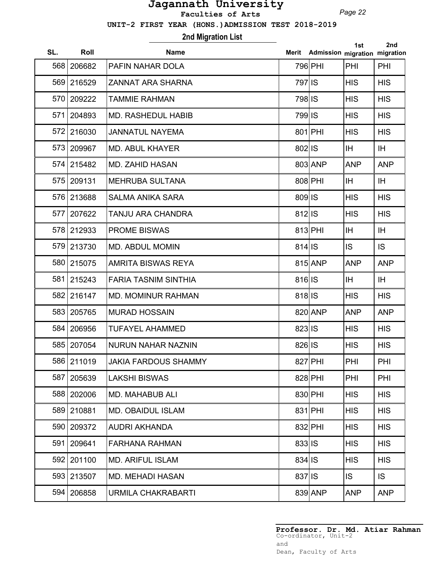*Page 22*

 **UNIT-2 FIRST YEAR (HONS.)ADMISSION TEST 2018-2019**

## **2nd Migration List**

| SL. | Roll       | <b>Name</b>                 | Merit      | Admission migration migration | 1st        | 2nd        |
|-----|------------|-----------------------------|------------|-------------------------------|------------|------------|
|     | 568 206682 | <b>PAFIN NAHAR DOLA</b>     |            | 796 PHI                       | PHI        | PHI        |
|     | 569 216529 | <b>ZANNAT ARA SHARNA</b>    | 797 IS     |                               | <b>HIS</b> | <b>HIS</b> |
|     | 570 209222 | <b>TAMMIE RAHMAN</b>        | 798 IS     |                               | <b>HIS</b> | <b>HIS</b> |
| 571 | 204893     | <b>MD. RASHEDUL HABIB</b>   | 799 IS     |                               | <b>HIS</b> | <b>HIS</b> |
|     | 572 216030 | <b>JANNATUL NAYEMA</b>      |            | 801 PHI                       | <b>HIS</b> | <b>HIS</b> |
|     | 573 209967 | <b>MD. ABUL KHAYER</b>      | 802 IS     |                               | IH.        | IH.        |
|     | 574 215482 | <b>MD. ZAHID HASAN</b>      |            | 803 ANP                       | <b>ANP</b> | <b>ANP</b> |
|     | 575 209131 | <b>MEHRUBA SULTANA</b>      |            | 808 PHI                       | IH.        | IH.        |
|     | 576 213688 | <b>SALMA ANIKA SARA</b>     | 809 IS     |                               | <b>HIS</b> | <b>HIS</b> |
| 577 | 207622     | TANJU ARA CHANDRA           | 812 IS     |                               | <b>HIS</b> | <b>HIS</b> |
|     | 578 212933 | <b>PROME BISWAS</b>         |            | 813 PHI                       | <b>IH</b>  | <b>IH</b>  |
|     | 579 213730 | <b>MD. ABDUL MOMIN</b>      | 814 IS     |                               | IS.        | IS         |
|     | 580 215075 | <b>AMRITA BISWAS REYA</b>   |            | 815 ANP                       | <b>ANP</b> | <b>ANP</b> |
| 581 | 215243     | <b>FARIA TASNIM SINTHIA</b> | 816 IS     |                               | IH.        | <b>IH</b>  |
|     | 582 216147 | <b>MD. MOMINUR RAHMAN</b>   | $818$   IS |                               | <b>HIS</b> | <b>HIS</b> |
|     | 583 205765 | <b>MURAD HOSSAIN</b>        |            | 820 ANP                       | <b>ANP</b> | <b>ANP</b> |
| 584 | 206956     | <b>TUFAYEL AHAMMED</b>      | 823 IS     |                               | <b>HIS</b> | <b>HIS</b> |
|     | 585 207054 | <b>NURUN NAHAR NAZNIN</b>   | 826 IS     |                               | <b>HIS</b> | <b>HIS</b> |
|     | 586 211019 | <b>JAKIA FARDOUS SHAMMY</b> |            | 827 PHI                       | PHI        | PHI        |
| 587 | 205639     | <b>LAKSHI BISWAS</b>        |            | 828 PHI                       | PHI        | PHI        |
|     | 588 202006 | <b>MD. MAHABUB ALI</b>      |            | 830 PHI                       | <b>HIS</b> | <b>HIS</b> |
|     | 589 210881 | <b>MD. OBAIDUL ISLAM</b>    |            | $831$ PHI                     | <b>HIS</b> | <b>HIS</b> |
|     | 590 209372 | <b>AUDRI AKHANDA</b>        |            | 832 PHI                       | <b>HIS</b> | <b>HIS</b> |
| 591 | 209641     | <b>FARHANA RAHMAN</b>       | $833 $ IS  |                               | <b>HIS</b> | <b>HIS</b> |
|     | 592 201100 | <b>MD. ARIFUL ISLAM</b>     | $834$ IS   |                               | <b>HIS</b> | <b>HIS</b> |
|     | 593 213507 | <b>MD. MEHADI HASAN</b>     | 837 IS     |                               | IS.        | IS.        |
| 594 | 206858     | <b>URMILA CHAKRABARTI</b>   |            | 839 ANP                       | <b>ANP</b> | <b>ANP</b> |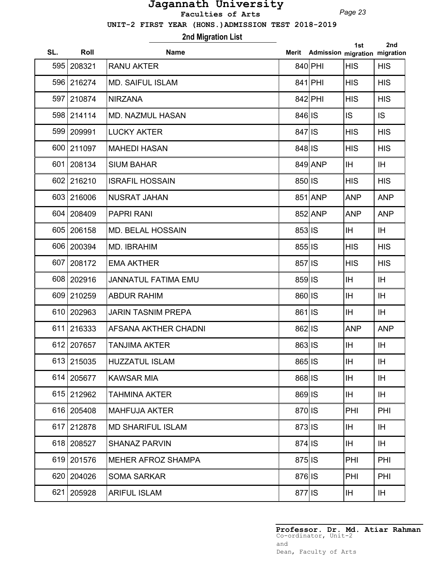*Page 23*

 **UNIT-2 FIRST YEAR (HONS.)ADMISSION TEST 2018-2019**

# **2nd Migration List**

| SL. | Roll       | <b>Name</b>                 |                     | Merit Admission migration migration | 1st        | 2nd        |
|-----|------------|-----------------------------|---------------------|-------------------------------------|------------|------------|
|     | 595 208321 | <b>RANU AKTER</b>           |                     | 840 PHI                             | <b>HIS</b> | <b>HIS</b> |
|     | 596 216274 | <b>MD. SAIFUL ISLAM</b>     |                     | 841 PHI                             | <b>HIS</b> | <b>HIS</b> |
|     | 597 210874 | <b>NIRZANA</b>              |                     | 842 PHI                             | <b>HIS</b> | <b>HIS</b> |
|     | 598 214114 | <b>MD. NAZMUL HASAN</b>     | 846 IS              |                                     | <b>IS</b>  | IS.        |
|     | 599 209991 | <b>LUCKY AKTER</b>          | $847$ <sub>IS</sub> |                                     | <b>HIS</b> | <b>HIS</b> |
| 600 | 211097     | <b>MAHEDI HASAN</b>         | 848 IS              |                                     | <b>HIS</b> | <b>HIS</b> |
| 601 | 208134     | <b>SIUM BAHAR</b>           |                     | 849 ANP                             | IH.        | IH.        |
|     | 602 216210 | <b>ISRAFIL HOSSAIN</b>      | 850 IS              |                                     | <b>HIS</b> | <b>HIS</b> |
|     | 603 216006 | <b>NUSRAT JAHAN</b>         |                     | 851 ANP                             | <b>ANP</b> | <b>ANP</b> |
|     | 604 208409 | <b>PAPRI RANI</b>           |                     | 852 ANP                             | <b>ANP</b> | <b>ANP</b> |
| 605 | 206158     | <b>MD. BELAL HOSSAIN</b>    | 853 IS              |                                     | IH.        | IH.        |
|     | 606 200394 | MD. IBRAHIM                 | 855 IS              |                                     | <b>HIS</b> | <b>HIS</b> |
| 607 | 208172     | <b>EMA AKTHER</b>           | 857 IS              |                                     | <b>HIS</b> | <b>HIS</b> |
| 608 | 202916     | <b>JANNATUL FATIMA EMU</b>  | 859 IS              |                                     | IH         | IH         |
| 609 | 210259     | <b>ABDUR RAHIM</b>          | 860 IS              |                                     | IH         | IH         |
| 610 | 202963     | <b>JARIN TASNIM PREPA</b>   | 861 IS              |                                     | IH         | IH         |
| 611 | 216333     | <b>AFSANA AKTHER CHADNI</b> | 862 IS              |                                     | <b>ANP</b> | <b>ANP</b> |
|     | 612 207657 | <b>TANJIMA AKTER</b>        | 863 IS              |                                     | <b>IH</b>  | IH         |
|     | 613 215035 | <b>HUZZATUL ISLAM</b>       | 865 IS              |                                     | IH.        | ΙH         |
| 614 | 205677     | <b>KAWSAR MIA</b>           | 868 IS              |                                     | IH.        | IH         |
| 615 | 212962     | <b>TAHMINA AKTER</b>        | 869 IS              |                                     | IH.        | IH.        |
| 616 | 205408     | <b>MAHFUJA AKTER</b>        | 870 IS              |                                     | PHI        | PHI        |
| 617 | 212878     | <b>MD SHARIFUL ISLAM</b>    | 873 IS              |                                     | IH.        | IH.        |
|     | 618 208527 | <b>SHANAZ PARVIN</b>        | 874 IS              |                                     | IH.        | <b>IH</b>  |
|     | 619 201576 | <b>MEHER AFROZ SHAMPA</b>   | $875$  IS           |                                     | PHI        | PHI        |
|     | 620 204026 | <b>SOMA SARKAR</b>          | 876 IS              |                                     | PHI        | PHI        |
| 621 | 205928     | <b>ARIFUL ISLAM</b>         | 877 IS              |                                     | IH.        | IH.        |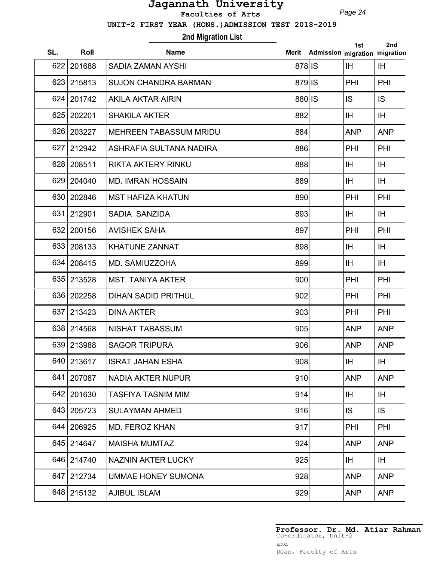*Page 24*

 **UNIT-2 FIRST YEAR (HONS.)ADMISSION TEST 2018-2019**

## **2nd Migration List**

| SL. | Roll       | <b>Name</b>                   | Merit  | Admission migration migration | 1st        | 2nd        |
|-----|------------|-------------------------------|--------|-------------------------------|------------|------------|
| 622 | 201688     | <b>SADIA ZAMAN AYSHI</b>      | 878 IS |                               | <b>IH</b>  | <b>IH</b>  |
| 623 | 215813     | <b>SUJON CHANDRA BARMAN</b>   | 879 IS |                               | PHI        | PHI        |
| 624 | 201742     | <b>AKILA AKTAR AIRIN</b>      | 880 IS |                               | <b>IS</b>  | <b>IS</b>  |
| 625 | 202201     | <b>SHAKILA AKTER</b>          | 882    |                               | <b>IH</b>  | IH         |
|     | 626 203227 | <b>MEHREEN TABASSUM MRIDU</b> | 884    |                               | <b>ANP</b> | <b>ANP</b> |
| 627 | 212942     | ASHRAFIA SULTANA NADIRA       | 886    |                               | PHI        | PHI        |
|     | 628 208511 | <b>RIKTA AKTERY RINKU</b>     | 888    |                               | <b>IH</b>  | IH         |
| 629 | 204040     | <b>MD. IMRAN HOSSAIN</b>      | 889    |                               | <b>IH</b>  | IH         |
|     | 630 202846 | <b>MST HAFIZA KHATUN</b>      | 890    |                               | PHI        | PHI        |
| 631 | 212901     | SADIA SANZIDA                 | 893    |                               | <b>IH</b>  | IH         |
| 632 | 200156     | <b>AVISHEK SAHA</b>           | 897    |                               | PHI        | PHI        |
|     | 633 208133 | <b>KHATUNE ZANNAT</b>         | 898    |                               | <b>IH</b>  | IH         |
|     | 634 208415 | MD. SAMIUZZOHA                | 899    |                               | IH.        | IH         |
|     | 635 213528 | <b>MST. TANIYA AKTER</b>      | 900    |                               | PHI        | PHI        |
| 636 | 202258     | <b>DIHAN SADID PRITHUL</b>    | 902    |                               | PHI        | PHI        |
| 637 | 213423     | <b>DINA AKTER</b>             | 903    |                               | PHI        | PHI        |
|     | 638 214568 | NISHAT TABASSUM               | 905    |                               | <b>ANP</b> | <b>ANP</b> |
|     | 639 213988 | <b>SAGOR TRIPURA</b>          | 906    |                               | <b>ANP</b> | <b>ANP</b> |
|     | 640 213617 | <b>ISRAT JAHAN ESHA</b>       | 908    |                               | <b>IH</b>  | IH         |
| 641 | 207087     | <b>NADIA AKTER NUPUR</b>      | 910    |                               | <b>ANP</b> | <b>ANP</b> |
|     | 642 201630 | <b>TASFIYA TASNIM MIM</b>     | 914    |                               | <b>IH</b>  | IH         |
| 643 | 205723     | <b>SULAYMAN AHMED</b>         | 916    |                               | IS.        | IS         |
| 644 | 206925     | <b>MD. FEROZ KHAN</b>         | 917    |                               | PHI        | PHI        |
| 645 | 214647     | <b>MAISHA MUMTAZ</b>          | 924    |                               | <b>ANP</b> | <b>ANP</b> |
|     | 646 214740 | NAZNIN AKTER LUCKY            | 925    |                               | <b>IH</b>  | IH.        |
| 647 | 212734     | <b>UMMAE HONEY SUMONA</b>     | 928    |                               | <b>ANP</b> | <b>ANP</b> |
|     | 648 215132 | <b>AJIBUL ISLAM</b>           | 929    |                               | <b>ANP</b> | <b>ANP</b> |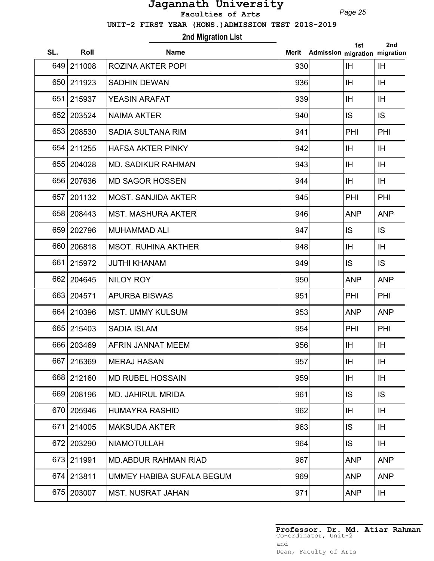*Page 25*

 **UNIT-2 FIRST YEAR (HONS.)ADMISSION TEST 2018-2019**

## **2nd Migration List**

| SL. | Roll       | <b>Name</b>                | Merit | Admission migration migration | 1st        | 2nd        |
|-----|------------|----------------------------|-------|-------------------------------|------------|------------|
|     | 649 211008 | <b>ROZINA AKTER POPI</b>   | 930   |                               | <b>IH</b>  | IH         |
|     | 650 211923 | <b>SADHIN DEWAN</b>        | 936   |                               | IH         | IH         |
| 651 | 215937     | <b>YEASIN ARAFAT</b>       | 939   |                               | IH         | IH         |
|     | 652 203524 | <b>NAIMA AKTER</b>         | 940   |                               | IS.        | <b>IS</b>  |
|     | 653 208530 | <b>SADIA SULTANA RIM</b>   | 941   |                               | PHI        | PHI        |
|     | 654 211255 | <b>HAFSA AKTER PINKY</b>   | 942   |                               | IH         | IH         |
|     | 655 204028 | <b>MD. SADIKUR RAHMAN</b>  | 943   |                               | <b>IH</b>  | IH         |
|     | 656 207636 | <b>MD SAGOR HOSSEN</b>     | 944   |                               | IH         | IH         |
| 657 | 201132     | <b>MOST. SANJIDA AKTER</b> | 945   |                               | PHI        | PHI        |
|     | 658 208443 | <b>MST. MASHURA AKTER</b>  | 946   |                               | <b>ANP</b> | <b>ANP</b> |
|     | 659 202796 | <b>MUHAMMAD ALI</b>        | 947   |                               | IS         | <b>IS</b>  |
|     | 660 206818 | <b>MSOT, RUHINA AKTHER</b> | 948   |                               | IH         | IH         |
| 661 | 215972     | <b>JUTHI KHANAM</b>        | 949   |                               | IS         | <b>IS</b>  |
|     | 662 204645 | <b>NILOY ROY</b>           | 950   |                               | <b>ANP</b> | <b>ANP</b> |
|     | 663 204571 | <b>APURBA BISWAS</b>       | 951   |                               | PHI        | PHI        |
| 664 | 210396     | <b>MST. UMMY KULSUM</b>    | 953   |                               | <b>ANP</b> | <b>ANP</b> |
|     | 665 215403 | <b>SADIA ISLAM</b>         | 954   |                               | PHI        | PHI        |
|     | 666 203469 | <b>AFRIN JANNAT MEEM</b>   | 956   |                               | IH         | IH         |
|     | 667 216369 | <b>MERAJ HASAN</b>         | 957   |                               | IH         | IH         |
|     | 668 212160 | <b>MD RUBEL HOSSAIN</b>    | 959   |                               | <b>IH</b>  | IH.        |
|     | 669 208196 | <b>MD. JAHIRUL MRIDA</b>   | 961   |                               | IS         | <b>IS</b>  |
|     | 670 205946 | <b>HUMAYRA RASHID</b>      | 962   |                               | <b>IH</b>  | IH         |
| 671 | 214005     | <b>MAKSUDA AKTER</b>       | 963   |                               | IS         | IH.        |
| 672 | 203290     | <b>NIAMOTULLAH</b>         | 964   |                               | IS.        | IH.        |
|     | 673 211991 | MD.ABDUR RAHMAN RIAD       | 967   |                               | <b>ANP</b> | <b>ANP</b> |
|     | 674 213811 | UMMEY HABIBA SUFALA BEGUM  | 969   |                               | <b>ANP</b> | <b>ANP</b> |
|     | 675 203007 | <b>MST. NUSRAT JAHAN</b>   | 971   |                               | <b>ANP</b> | IH.        |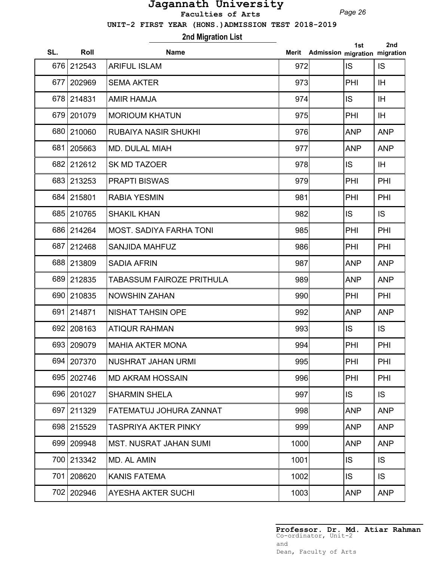*Page 26*

 **UNIT-2 FIRST YEAR (HONS.)ADMISSION TEST 2018-2019**

# **2nd Migration List**

| SL. | Roll       | <b>Name</b>                    | Merit | Admission migration migration | 1st        | 2nd        |
|-----|------------|--------------------------------|-------|-------------------------------|------------|------------|
|     | 676 212543 | <b>ARIFUL ISLAM</b>            | 972   |                               | <b>IS</b>  | IS.        |
| 677 | 202969     | <b>SEMA AKTER</b>              | 973   |                               | PHI        | IH         |
|     | 678 214831 | <b>AMIR HAMJA</b>              | 974   |                               | IS         | IH.        |
|     | 679 201079 | <b>MORIOUM KHATUN</b>          | 975   |                               | PHI        | IH         |
|     | 680 210060 | <b>RUBAIYA NASIR SHUKHI</b>    | 976   |                               | <b>ANP</b> | <b>ANP</b> |
| 681 | 205663     | <b>MD. DULAL MIAH</b>          | 977   |                               | <b>ANP</b> | <b>ANP</b> |
|     | 682 212612 | <b>SK MD TAZOER</b>            | 978   |                               | IS         | IH.        |
|     | 683 213253 | <b>PRAPTI BISWAS</b>           | 979   |                               | PHI        | PHI        |
|     | 684 215801 | <b>RABIA YESMIN</b>            | 981   |                               | PHI        | PHI        |
|     | 685 210765 | <b>SHAKIL KHAN</b>             | 982   |                               | IS         | IS         |
|     | 686 214264 | <b>MOST. SADIYA FARHA TONI</b> | 985   |                               | PHI        | PHI        |
| 687 | 212468     | <b>SANJIDA MAHFUZ</b>          | 986   |                               | PHI        | PHI        |
| 688 | 213809     | <b>SADIA AFRIN</b>             | 987   |                               | <b>ANP</b> | <b>ANP</b> |
| 689 | 212835     | TABASSUM FAIROZE PRITHULA      | 989   |                               | <b>ANP</b> | <b>ANP</b> |
| 690 | 210835     | <b>NOWSHIN ZAHAN</b>           | 990   |                               | PHI        | PHI        |
| 691 | 214871     | <b>NISHAT TAHSIN OPE</b>       | 992   |                               | <b>ANP</b> | <b>ANP</b> |
| 692 | 208163     | <b>ATIQUR RAHMAN</b>           | 993   |                               | IS         | IS.        |
|     | 693 209079 | <b>MAHIA AKTER MONA</b>        | 994   |                               | PHI        | PHI        |
|     | 694 207370 | <b>NUSHRAT JAHAN URMI</b>      | 995   |                               | PHI        | PHI        |
| 695 | 202746     | <b>MD AKRAM HOSSAIN</b>        | 996   |                               | PHI        | PHI        |
|     | 696 201027 | <b>SHARMIN SHELA</b>           | 997   |                               | IS.        | IS.        |
| 697 | 211329     | FATEMATUJ JOHURA ZANNAT        | 998   |                               | <b>ANP</b> | <b>ANP</b> |
|     | 698 215529 | TASPRIYA AKTER PINKY           | 999   |                               | <b>ANP</b> | <b>ANP</b> |
|     | 699 209948 | <b>MST. NUSRAT JAHAN SUMI</b>  | 1000  |                               | <b>ANP</b> | <b>ANP</b> |
|     | 700 213342 | MD. AL AMIN                    | 1001  |                               | IS.        | IS.        |
|     | 701 208620 | <b>KANIS FATEMA</b>            | 1002  |                               | IS.        | IS.        |
|     | 702 202946 | <b>AYESHA AKTER SUCHI</b>      | 1003  |                               | <b>ANP</b> | <b>ANP</b> |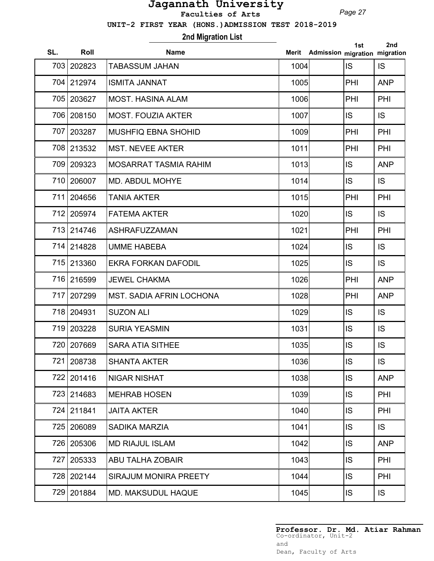*Page 27*

 **UNIT-2 FIRST YEAR (HONS.)ADMISSION TEST 2018-2019**

## **2nd Migration List**

| SL. | Roll       | <b>Name</b>                     | Merit | Admission migration migration | 1st       | 2nd        |
|-----|------------|---------------------------------|-------|-------------------------------|-----------|------------|
| 703 | 202823     | TABASSUM JAHAN                  | 1004  |                               | <b>IS</b> | <b>IS</b>  |
|     | 704 212974 | <b>ISMITA JANNAT</b>            | 1005  |                               | PHI       | <b>ANP</b> |
|     | 705 203627 | <b>MOST. HASINA ALAM</b>        | 1006  |                               | PHI       | <b>PHI</b> |
|     | 706 208150 | <b>MOST. FOUZIA AKTER</b>       | 1007  |                               | <b>IS</b> | IS.        |
|     | 707 203287 | <b>MUSHFIQ EBNA SHOHID</b>      | 1009  |                               | PHI       | PHI        |
|     | 708 213532 | <b>MST. NEVEE AKTER</b>         | 1011  |                               | PHI       | PHI        |
|     | 709 209323 | <b>MOSARRAT TASMIA RAHIM</b>    | 1013  |                               | <b>IS</b> | <b>ANP</b> |
|     | 710 206007 | <b>MD. ABDUL MOHYE</b>          | 1014  |                               | <b>IS</b> | <b>IS</b>  |
| 711 | 204656     | <b>TANIA AKTER</b>              | 1015  |                               | PHI       | <b>PHI</b> |
|     | 712 205974 | <b>FATEMA AKTER</b>             | 1020  |                               | <b>IS</b> | <b>IS</b>  |
|     | 713 214746 | <b>ASHRAFUZZAMAN</b>            | 1021  |                               | PHI       | PHI        |
|     | 714 214828 | <b>UMME HABEBA</b>              | 1024  |                               | <b>IS</b> | <b>IS</b>  |
|     | 715 213360 | <b>EKRA FORKAN DAFODIL</b>      | 1025  |                               | <b>IS</b> | IS         |
| 716 | 216599     | <b>JEWEL CHAKMA</b>             | 1026  |                               | PHI       | <b>ANP</b> |
| 717 | 207299     | <b>MST. SADIA AFRIN LOCHONA</b> | 1028  |                               | PHI       | <b>ANP</b> |
| 718 | 204931     | <b>SUZON ALI</b>                | 1029  |                               | <b>IS</b> | IS         |
|     | 719 203228 | <b>SURIA YEASMIN</b>            | 1031  |                               | <b>IS</b> | <b>IS</b>  |
|     | 720 207669 | <b>SARA ATIA SITHEE</b>         | 1035  |                               | <b>IS</b> | IS         |
|     | 721 208738 | <b>SHANTA AKTER</b>             | 1036  |                               | <b>IS</b> | <b>IS</b>  |
| 722 | 201416     | <b>NIGAR NISHAT</b>             | 1038  |                               | <b>IS</b> | <b>ANP</b> |
|     | 723 214683 | <b>MEHRAB HOSEN</b>             | 1039  |                               | <b>IS</b> | PHI        |
|     | 724 211841 | <b>JAITA AKTER</b>              | 1040  |                               | <b>IS</b> | PHI        |
| 725 | 206089     | <b>SADIKA MARZIA</b>            | 1041  |                               | <b>IS</b> | IS.        |
| 726 | 205306     | <b>MD RIAJUL ISLAM</b>          | 1042  |                               | <b>IS</b> | <b>ANP</b> |
| 727 | 205333     | <b>ABU TALHA ZOBAIR</b>         | 1043  |                               | <b>IS</b> | <b>PHI</b> |
|     | 728 202144 | <b>SIRAJUM MONIRA PREETY</b>    | 1044  |                               | <b>IS</b> | <b>PHI</b> |
|     | 729 201884 | <b>MD. MAKSUDUL HAQUE</b>       | 1045  |                               | <b>IS</b> | IS.        |